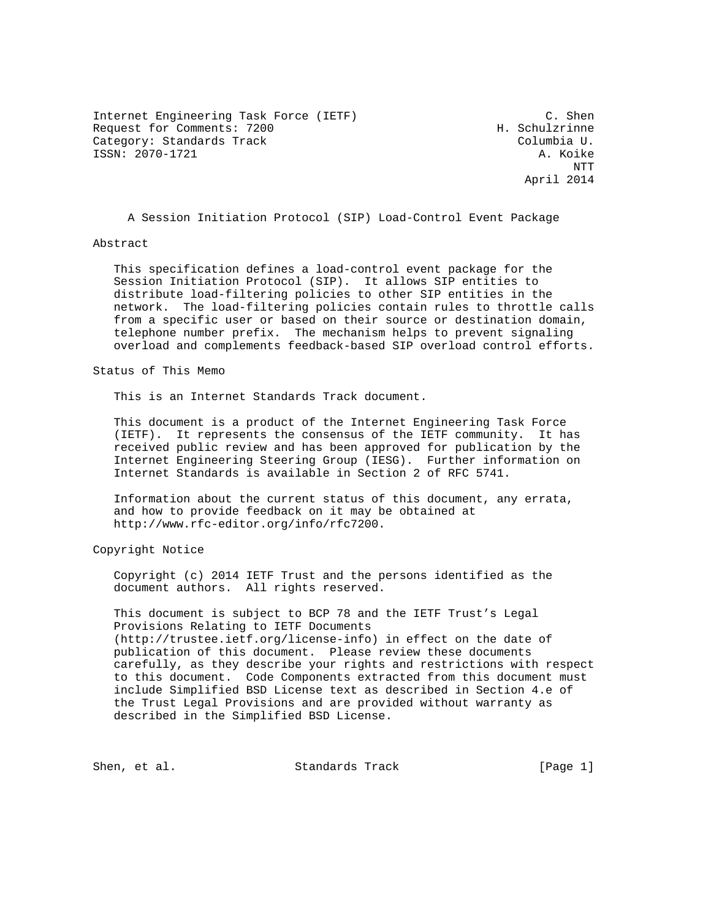Internet Engineering Task Force (IETF) C. Shen Request for Comments: 7200 H. Schulzrinne Category: Standards Track Columbia U. ISSN: 2070-1721 A. Koike

 NTT April 2014

A Session Initiation Protocol (SIP) Load-Control Event Package

#### Abstract

 This specification defines a load-control event package for the Session Initiation Protocol (SIP). It allows SIP entities to distribute load-filtering policies to other SIP entities in the network. The load-filtering policies contain rules to throttle calls from a specific user or based on their source or destination domain, telephone number prefix. The mechanism helps to prevent signaling overload and complements feedback-based SIP overload control efforts.

Status of This Memo

This is an Internet Standards Track document.

 This document is a product of the Internet Engineering Task Force (IETF). It represents the consensus of the IETF community. It has received public review and has been approved for publication by the Internet Engineering Steering Group (IESG). Further information on Internet Standards is available in Section 2 of RFC 5741.

 Information about the current status of this document, any errata, and how to provide feedback on it may be obtained at http://www.rfc-editor.org/info/rfc7200.

Copyright Notice

 Copyright (c) 2014 IETF Trust and the persons identified as the document authors. All rights reserved.

 This document is subject to BCP 78 and the IETF Trust's Legal Provisions Relating to IETF Documents (http://trustee.ietf.org/license-info) in effect on the date of publication of this document. Please review these documents carefully, as they describe your rights and restrictions with respect to this document. Code Components extracted from this document must include Simplified BSD License text as described in Section 4.e of the Trust Legal Provisions and are provided without warranty as described in the Simplified BSD License.

Shen, et al. Standards Track [Page 1]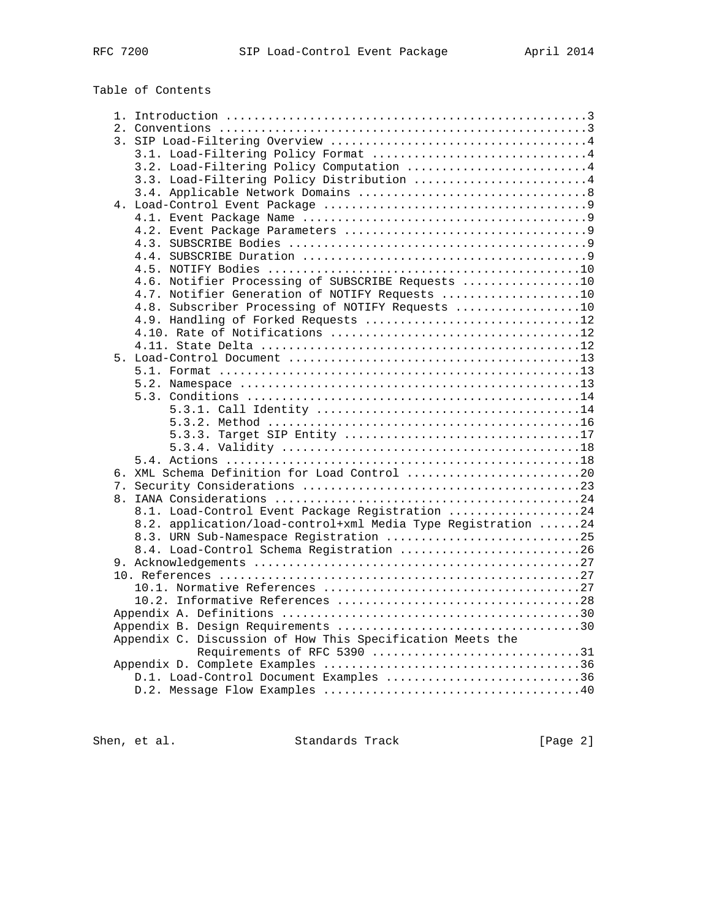| Table of Contents |  |
|-------------------|--|
|-------------------|--|

|  | 3.2. Load-Filtering Policy Computation 4                     |  |
|--|--------------------------------------------------------------|--|
|  | 3.3. Load-Filtering Policy Distribution 4                    |  |
|  |                                                              |  |
|  |                                                              |  |
|  |                                                              |  |
|  |                                                              |  |
|  |                                                              |  |
|  |                                                              |  |
|  |                                                              |  |
|  | 4.6. Notifier Processing of SUBSCRIBE Requests 10            |  |
|  | 4.7. Notifier Generation of NOTIFY Requests 10               |  |
|  | 4.8. Subscriber Processing of NOTIFY Requests 10             |  |
|  | 4.9. Handling of Forked Requests 12                          |  |
|  |                                                              |  |
|  |                                                              |  |
|  |                                                              |  |
|  |                                                              |  |
|  |                                                              |  |
|  |                                                              |  |
|  |                                                              |  |
|  |                                                              |  |
|  |                                                              |  |
|  |                                                              |  |
|  |                                                              |  |
|  | 6. XML Schema Definition for Load Control 20                 |  |
|  |                                                              |  |
|  |                                                              |  |
|  | 8.1. Load-Control Event Package Registration 24              |  |
|  | 8.2. application/load-control+xml Media Type Registration 24 |  |
|  | 8.3. URN Sub-Namespace Registration 25                       |  |
|  | 8.4. Load-Control Schema Registration 26                     |  |
|  |                                                              |  |
|  |                                                              |  |
|  |                                                              |  |
|  |                                                              |  |
|  |                                                              |  |
|  |                                                              |  |
|  | Appendix C. Discussion of How This Specification Meets the   |  |
|  | Requirements of RFC 5390 31                                  |  |
|  |                                                              |  |
|  | D.1. Load-Control Document Examples 36                       |  |
|  |                                                              |  |
|  |                                                              |  |

Shen, et al. Standards Track [Page 2]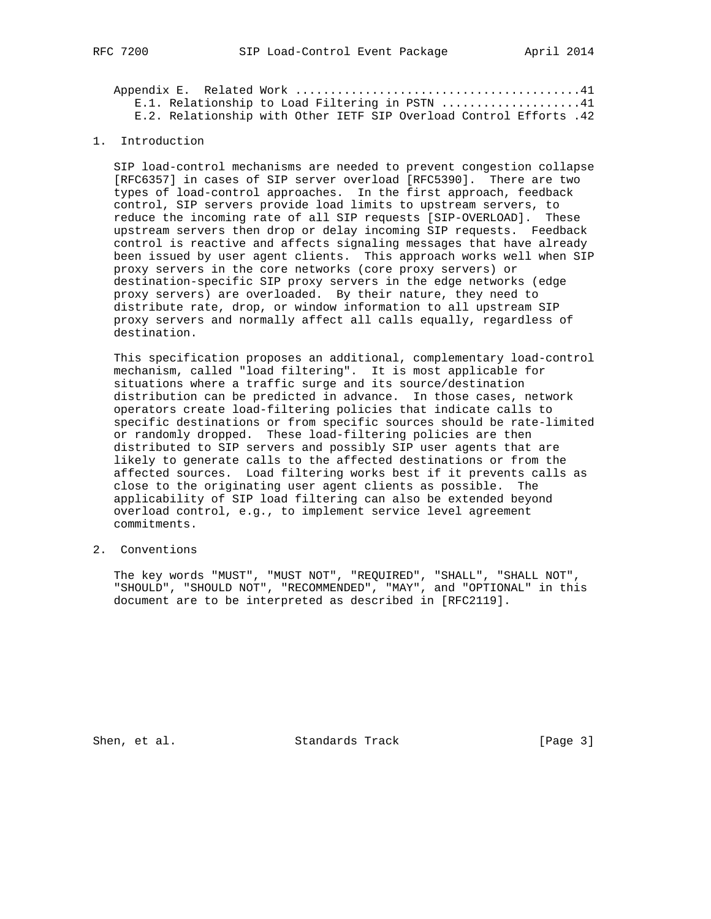|  | E.1. Relationship to Load Filtering in PSTN 41                     |  |  |  |  |  |  |
|--|--------------------------------------------------------------------|--|--|--|--|--|--|
|  | E.2. Relationship with Other IETF SIP Overload Control Efforts .42 |  |  |  |  |  |  |

## 1. Introduction

 SIP load-control mechanisms are needed to prevent congestion collapse [RFC6357] in cases of SIP server overload [RFC5390]. There are two types of load-control approaches. In the first approach, feedback control, SIP servers provide load limits to upstream servers, to reduce the incoming rate of all SIP requests [SIP-OVERLOAD]. These upstream servers then drop or delay incoming SIP requests. Feedback control is reactive and affects signaling messages that have already been issued by user agent clients. This approach works well when SIP proxy servers in the core networks (core proxy servers) or destination-specific SIP proxy servers in the edge networks (edge proxy servers) are overloaded. By their nature, they need to distribute rate, drop, or window information to all upstream SIP proxy servers and normally affect all calls equally, regardless of destination.

 This specification proposes an additional, complementary load-control mechanism, called "load filtering". It is most applicable for situations where a traffic surge and its source/destination distribution can be predicted in advance. In those cases, network operators create load-filtering policies that indicate calls to specific destinations or from specific sources should be rate-limited or randomly dropped. These load-filtering policies are then distributed to SIP servers and possibly SIP user agents that are likely to generate calls to the affected destinations or from the affected sources. Load filtering works best if it prevents calls as close to the originating user agent clients as possible. The applicability of SIP load filtering can also be extended beyond overload control, e.g., to implement service level agreement commitments.

2. Conventions

 The key words "MUST", "MUST NOT", "REQUIRED", "SHALL", "SHALL NOT", "SHOULD", "SHOULD NOT", "RECOMMENDED", "MAY", and "OPTIONAL" in this document are to be interpreted as described in [RFC2119].

Shen, et al. Standards Track [Page 3]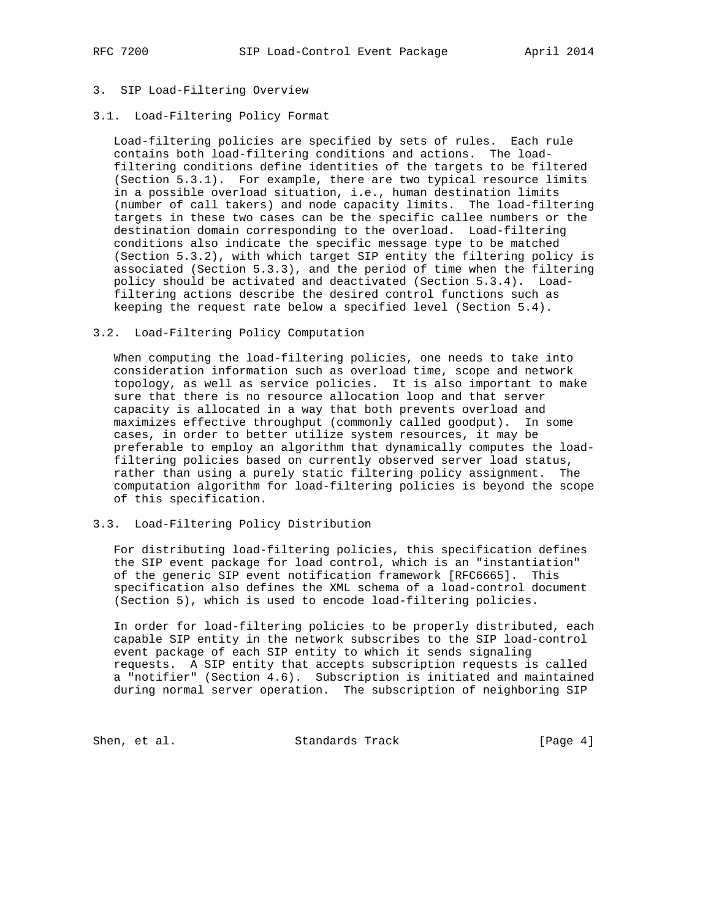## 3. SIP Load-Filtering Overview

#### 3.1. Load-Filtering Policy Format

 Load-filtering policies are specified by sets of rules. Each rule contains both load-filtering conditions and actions. The load filtering conditions define identities of the targets to be filtered (Section 5.3.1). For example, there are two typical resource limits in a possible overload situation, i.e., human destination limits (number of call takers) and node capacity limits. The load-filtering targets in these two cases can be the specific callee numbers or the destination domain corresponding to the overload. Load-filtering conditions also indicate the specific message type to be matched (Section 5.3.2), with which target SIP entity the filtering policy is associated (Section 5.3.3), and the period of time when the filtering policy should be activated and deactivated (Section 5.3.4). Load filtering actions describe the desired control functions such as keeping the request rate below a specified level (Section 5.4).

#### 3.2. Load-Filtering Policy Computation

 When computing the load-filtering policies, one needs to take into consideration information such as overload time, scope and network topology, as well as service policies. It is also important to make sure that there is no resource allocation loop and that server capacity is allocated in a way that both prevents overload and maximizes effective throughput (commonly called goodput). In some cases, in order to better utilize system resources, it may be preferable to employ an algorithm that dynamically computes the load filtering policies based on currently observed server load status, rather than using a purely static filtering policy assignment. The computation algorithm for load-filtering policies is beyond the scope of this specification.

#### 3.3. Load-Filtering Policy Distribution

 For distributing load-filtering policies, this specification defines the SIP event package for load control, which is an "instantiation" of the generic SIP event notification framework [RFC6665]. This specification also defines the XML schema of a load-control document (Section 5), which is used to encode load-filtering policies.

 In order for load-filtering policies to be properly distributed, each capable SIP entity in the network subscribes to the SIP load-control event package of each SIP entity to which it sends signaling requests. A SIP entity that accepts subscription requests is called a "notifier" (Section 4.6). Subscription is initiated and maintained during normal server operation. The subscription of neighboring SIP

Shen, et al. Standards Track [Page 4]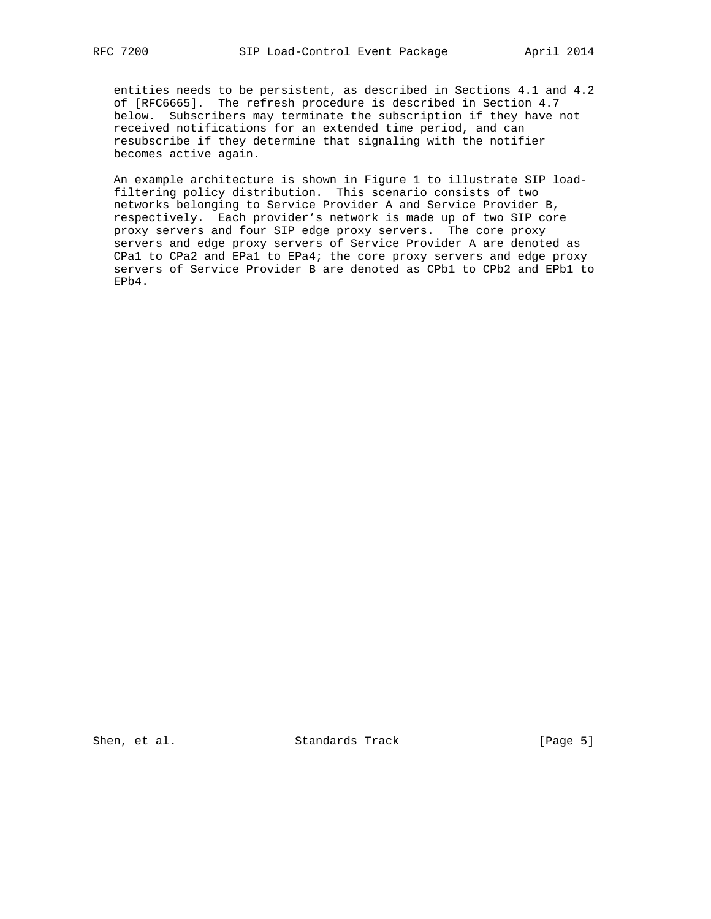entities needs to be persistent, as described in Sections 4.1 and 4.2 of [RFC6665]. The refresh procedure is described in Section 4.7 below. Subscribers may terminate the subscription if they have not received notifications for an extended time period, and can resubscribe if they determine that signaling with the notifier becomes active again.

 An example architecture is shown in Figure 1 to illustrate SIP load filtering policy distribution. This scenario consists of two networks belonging to Service Provider A and Service Provider B, respectively. Each provider's network is made up of two SIP core proxy servers and four SIP edge proxy servers. The core proxy servers and edge proxy servers of Service Provider A are denoted as CPa1 to CPa2 and EPa1 to EPa4; the core proxy servers and edge proxy servers of Service Provider B are denoted as CPb1 to CPb2 and EPb1 to EPb4.

Shen, et al. Standards Track [Page 5]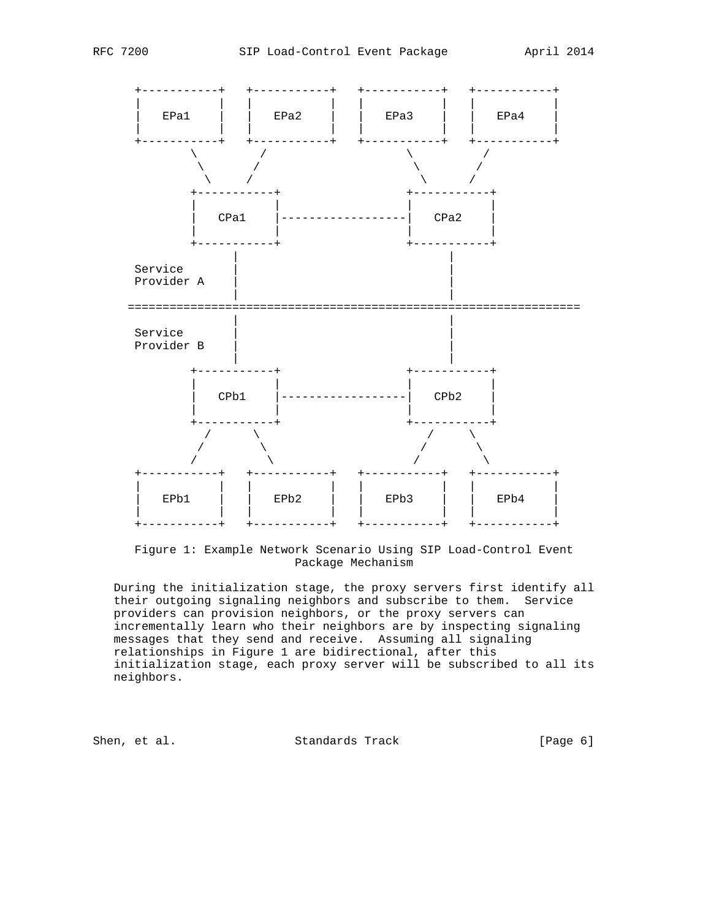

 Figure 1: Example Network Scenario Using SIP Load-Control Event Package Mechanism

 During the initialization stage, the proxy servers first identify all their outgoing signaling neighbors and subscribe to them. Service providers can provision neighbors, or the proxy servers can incrementally learn who their neighbors are by inspecting signaling messages that they send and receive. Assuming all signaling relationships in Figure 1 are bidirectional, after this initialization stage, each proxy server will be subscribed to all its neighbors.

Shen, et al. Standards Track [Page 6]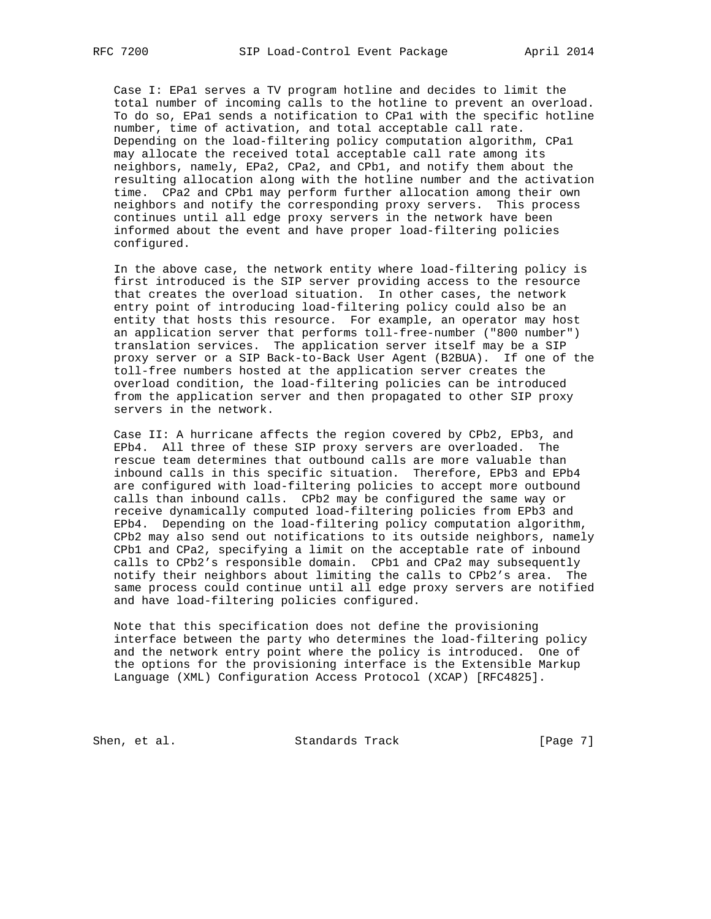Case I: EPa1 serves a TV program hotline and decides to limit the total number of incoming calls to the hotline to prevent an overload. To do so, EPa1 sends a notification to CPa1 with the specific hotline number, time of activation, and total acceptable call rate. Depending on the load-filtering policy computation algorithm, CPa1 may allocate the received total acceptable call rate among its neighbors, namely, EPa2, CPa2, and CPb1, and notify them about the resulting allocation along with the hotline number and the activation time. CPa2 and CPb1 may perform further allocation among their own neighbors and notify the corresponding proxy servers. This process continues until all edge proxy servers in the network have been informed about the event and have proper load-filtering policies configured.

 In the above case, the network entity where load-filtering policy is first introduced is the SIP server providing access to the resource that creates the overload situation. In other cases, the network entry point of introducing load-filtering policy could also be an entity that hosts this resource. For example, an operator may host an application server that performs toll-free-number ("800 number") translation services. The application server itself may be a SIP proxy server or a SIP Back-to-Back User Agent (B2BUA). If one of the toll-free numbers hosted at the application server creates the overload condition, the load-filtering policies can be introduced from the application server and then propagated to other SIP proxy servers in the network.

 Case II: A hurricane affects the region covered by CPb2, EPb3, and EPb4. All three of these SIP proxy servers are overloaded. The rescue team determines that outbound calls are more valuable than inbound calls in this specific situation. Therefore, EPb3 and EPb4 are configured with load-filtering policies to accept more outbound calls than inbound calls. CPb2 may be configured the same way or receive dynamically computed load-filtering policies from EPb3 and EPb4. Depending on the load-filtering policy computation algorithm, CPb2 may also send out notifications to its outside neighbors, namely CPb1 and CPa2, specifying a limit on the acceptable rate of inbound calls to CPb2's responsible domain. CPb1 and CPa2 may subsequently notify their neighbors about limiting the calls to CPb2's area. The same process could continue until all edge proxy servers are notified and have load-filtering policies configured.

 Note that this specification does not define the provisioning interface between the party who determines the load-filtering policy and the network entry point where the policy is introduced. One of the options for the provisioning interface is the Extensible Markup Language (XML) Configuration Access Protocol (XCAP) [RFC4825].

Shen, et al. Standards Track [Page 7]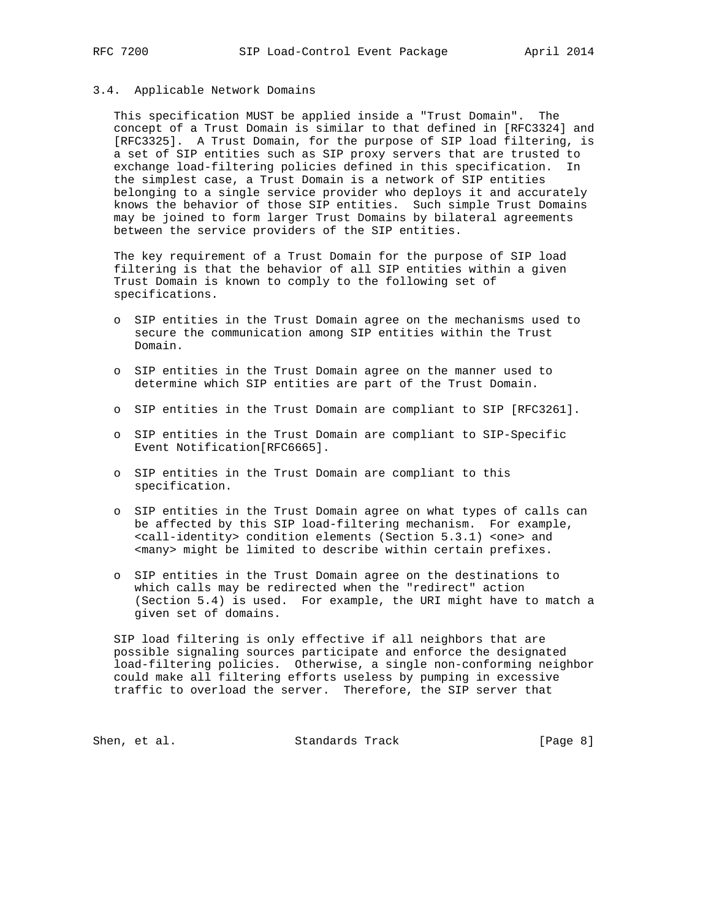## 3.4. Applicable Network Domains

 This specification MUST be applied inside a "Trust Domain". The concept of a Trust Domain is similar to that defined in [RFC3324] and [RFC3325]. A Trust Domain, for the purpose of SIP load filtering, is a set of SIP entities such as SIP proxy servers that are trusted to exchange load-filtering policies defined in this specification. In the simplest case, a Trust Domain is a network of SIP entities belonging to a single service provider who deploys it and accurately knows the behavior of those SIP entities. Such simple Trust Domains may be joined to form larger Trust Domains by bilateral agreements between the service providers of the SIP entities.

 The key requirement of a Trust Domain for the purpose of SIP load filtering is that the behavior of all SIP entities within a given Trust Domain is known to comply to the following set of specifications.

- o SIP entities in the Trust Domain agree on the mechanisms used to secure the communication among SIP entities within the Trust Domain.
- o SIP entities in the Trust Domain agree on the manner used to determine which SIP entities are part of the Trust Domain.
- o SIP entities in the Trust Domain are compliant to SIP [RFC3261].
- o SIP entities in the Trust Domain are compliant to SIP-Specific Event Notification[RFC6665].
- o SIP entities in the Trust Domain are compliant to this specification.
- o SIP entities in the Trust Domain agree on what types of calls can be affected by this SIP load-filtering mechanism. For example, <call-identity> condition elements (Section 5.3.1) <one> and <many> might be limited to describe within certain prefixes.
- o SIP entities in the Trust Domain agree on the destinations to which calls may be redirected when the "redirect" action (Section 5.4) is used. For example, the URI might have to match a given set of domains.

 SIP load filtering is only effective if all neighbors that are possible signaling sources participate and enforce the designated load-filtering policies. Otherwise, a single non-conforming neighbor could make all filtering efforts useless by pumping in excessive traffic to overload the server. Therefore, the SIP server that

Shen, et al. Standards Track [Page 8]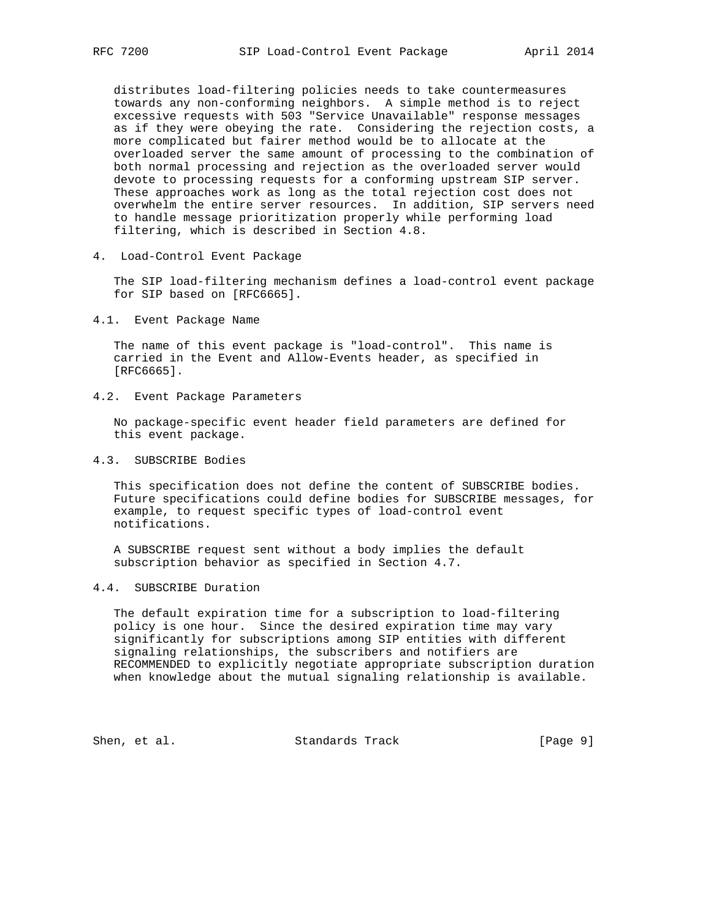distributes load-filtering policies needs to take countermeasures towards any non-conforming neighbors. A simple method is to reject excessive requests with 503 "Service Unavailable" response messages as if they were obeying the rate. Considering the rejection costs, a more complicated but fairer method would be to allocate at the overloaded server the same amount of processing to the combination of both normal processing and rejection as the overloaded server would devote to processing requests for a conforming upstream SIP server. These approaches work as long as the total rejection cost does not overwhelm the entire server resources. In addition, SIP servers need to handle message prioritization properly while performing load filtering, which is described in Section 4.8.

4. Load-Control Event Package

 The SIP load-filtering mechanism defines a load-control event package for SIP based on [RFC6665].

4.1. Event Package Name

 The name of this event package is "load-control". This name is carried in the Event and Allow-Events header, as specified in [RFC6665].

4.2. Event Package Parameters

 No package-specific event header field parameters are defined for this event package.

4.3. SUBSCRIBE Bodies

 This specification does not define the content of SUBSCRIBE bodies. Future specifications could define bodies for SUBSCRIBE messages, for example, to request specific types of load-control event notifications.

 A SUBSCRIBE request sent without a body implies the default subscription behavior as specified in Section 4.7.

#### 4.4. SUBSCRIBE Duration

 The default expiration time for a subscription to load-filtering policy is one hour. Since the desired expiration time may vary significantly for subscriptions among SIP entities with different signaling relationships, the subscribers and notifiers are RECOMMENDED to explicitly negotiate appropriate subscription duration when knowledge about the mutual signaling relationship is available.

Shen, et al. Standards Track [Page 9]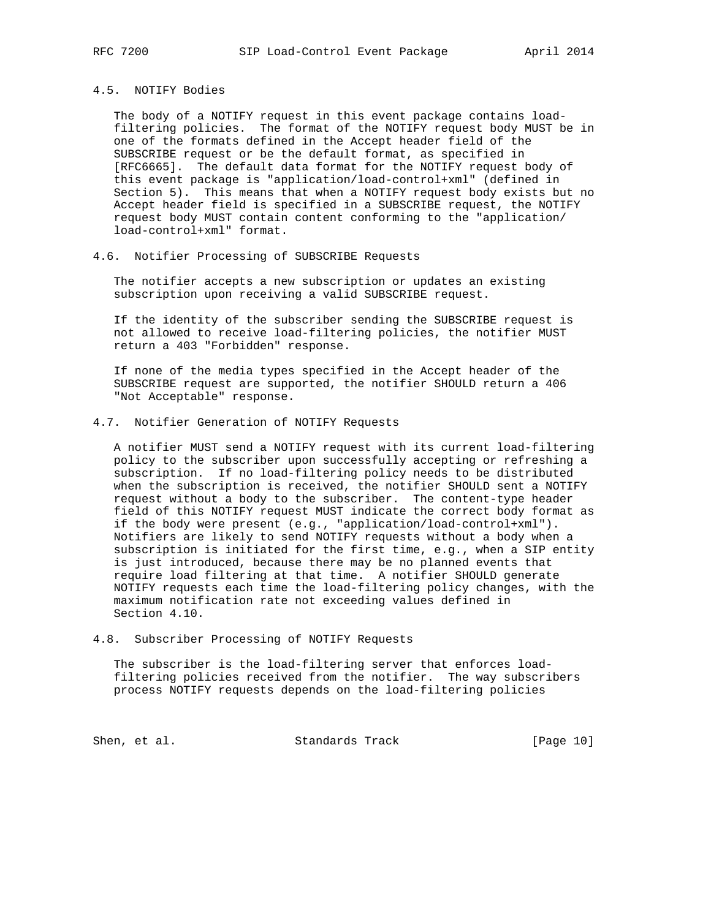#### 4.5. NOTIFY Bodies

 The body of a NOTIFY request in this event package contains load filtering policies. The format of the NOTIFY request body MUST be in one of the formats defined in the Accept header field of the SUBSCRIBE request or be the default format, as specified in [RFC6665]. The default data format for the NOTIFY request body of this event package is "application/load-control+xml" (defined in Section 5). This means that when a NOTIFY request body exists but no Accept header field is specified in a SUBSCRIBE request, the NOTIFY request body MUST contain content conforming to the "application/ load-control+xml" format.

## 4.6. Notifier Processing of SUBSCRIBE Requests

 The notifier accepts a new subscription or updates an existing subscription upon receiving a valid SUBSCRIBE request.

 If the identity of the subscriber sending the SUBSCRIBE request is not allowed to receive load-filtering policies, the notifier MUST return a 403 "Forbidden" response.

 If none of the media types specified in the Accept header of the SUBSCRIBE request are supported, the notifier SHOULD return a 406 "Not Acceptable" response.

#### 4.7. Notifier Generation of NOTIFY Requests

 A notifier MUST send a NOTIFY request with its current load-filtering policy to the subscriber upon successfully accepting or refreshing a subscription. If no load-filtering policy needs to be distributed when the subscription is received, the notifier SHOULD sent a NOTIFY request without a body to the subscriber. The content-type header field of this NOTIFY request MUST indicate the correct body format as if the body were present (e.g., "application/load-control+xml"). Notifiers are likely to send NOTIFY requests without a body when a subscription is initiated for the first time, e.g., when a SIP entity is just introduced, because there may be no planned events that require load filtering at that time. A notifier SHOULD generate NOTIFY requests each time the load-filtering policy changes, with the maximum notification rate not exceeding values defined in Section 4.10.

#### 4.8. Subscriber Processing of NOTIFY Requests

 The subscriber is the load-filtering server that enforces load filtering policies received from the notifier. The way subscribers process NOTIFY requests depends on the load-filtering policies

Shen, et al. Standards Track [Page 10]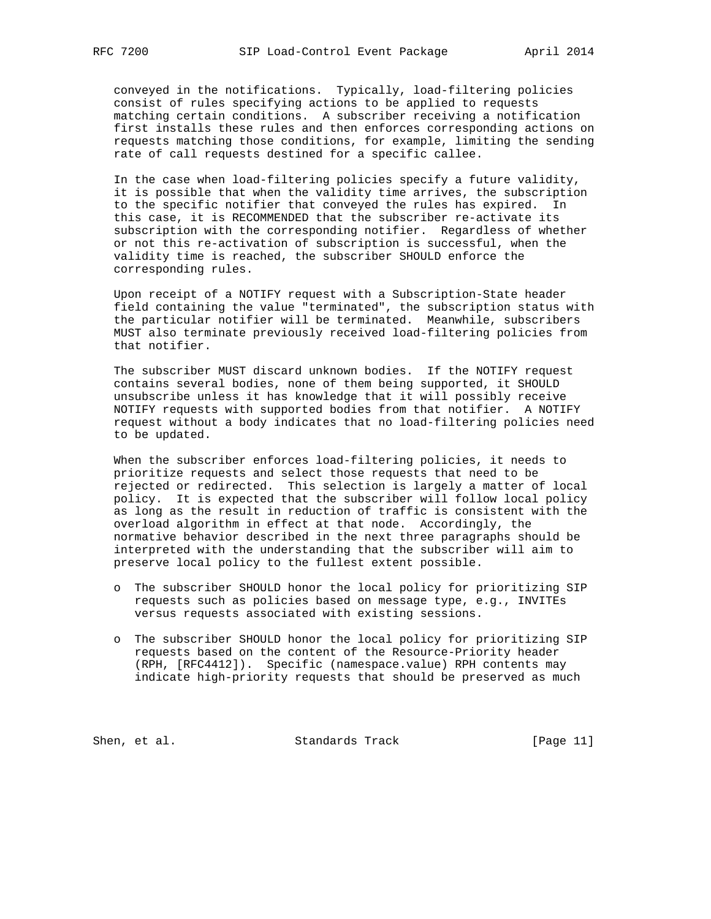conveyed in the notifications. Typically, load-filtering policies consist of rules specifying actions to be applied to requests matching certain conditions. A subscriber receiving a notification first installs these rules and then enforces corresponding actions on requests matching those conditions, for example, limiting the sending rate of call requests destined for a specific callee.

 In the case when load-filtering policies specify a future validity, it is possible that when the validity time arrives, the subscription to the specific notifier that conveyed the rules has expired. In this case, it is RECOMMENDED that the subscriber re-activate its subscription with the corresponding notifier. Regardless of whether or not this re-activation of subscription is successful, when the validity time is reached, the subscriber SHOULD enforce the corresponding rules.

 Upon receipt of a NOTIFY request with a Subscription-State header field containing the value "terminated", the subscription status with the particular notifier will be terminated. Meanwhile, subscribers MUST also terminate previously received load-filtering policies from that notifier.

 The subscriber MUST discard unknown bodies. If the NOTIFY request contains several bodies, none of them being supported, it SHOULD unsubscribe unless it has knowledge that it will possibly receive NOTIFY requests with supported bodies from that notifier. A NOTIFY request without a body indicates that no load-filtering policies need to be updated.

 When the subscriber enforces load-filtering policies, it needs to prioritize requests and select those requests that need to be rejected or redirected. This selection is largely a matter of local policy. It is expected that the subscriber will follow local policy as long as the result in reduction of traffic is consistent with the overload algorithm in effect at that node. Accordingly, the normative behavior described in the next three paragraphs should be interpreted with the understanding that the subscriber will aim to preserve local policy to the fullest extent possible.

- o The subscriber SHOULD honor the local policy for prioritizing SIP requests such as policies based on message type, e.g., INVITEs versus requests associated with existing sessions.
- o The subscriber SHOULD honor the local policy for prioritizing SIP requests based on the content of the Resource-Priority header (RPH, [RFC4412]). Specific (namespace.value) RPH contents may indicate high-priority requests that should be preserved as much

Shen, et al. Standards Track [Page 11]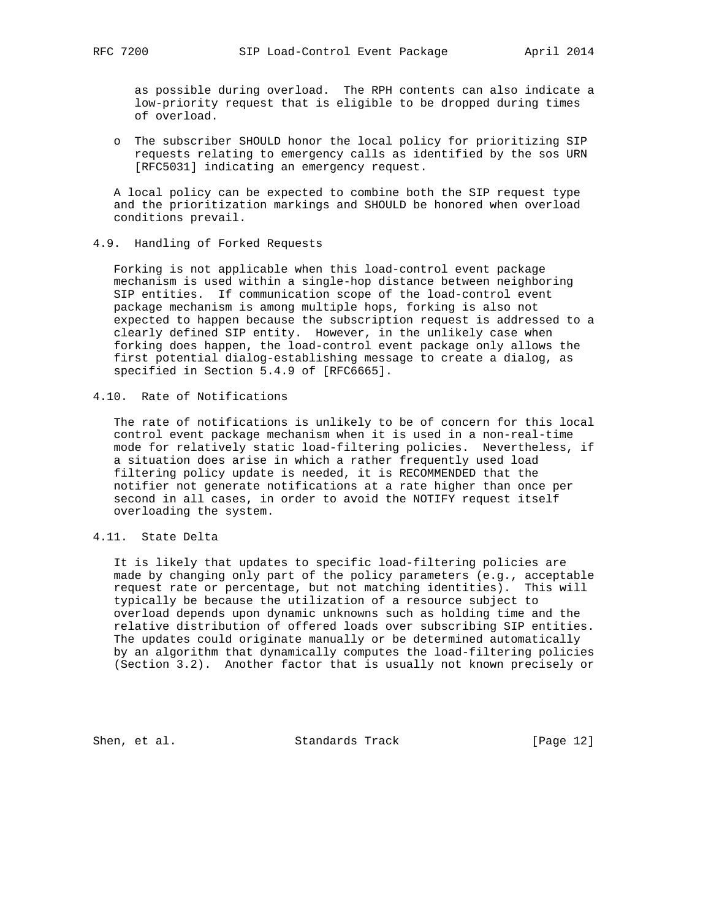as possible during overload. The RPH contents can also indicate a low-priority request that is eligible to be dropped during times of overload.

 o The subscriber SHOULD honor the local policy for prioritizing SIP requests relating to emergency calls as identified by the sos URN [RFC5031] indicating an emergency request.

 A local policy can be expected to combine both the SIP request type and the prioritization markings and SHOULD be honored when overload conditions prevail.

#### 4.9. Handling of Forked Requests

 Forking is not applicable when this load-control event package mechanism is used within a single-hop distance between neighboring SIP entities. If communication scope of the load-control event package mechanism is among multiple hops, forking is also not expected to happen because the subscription request is addressed to a clearly defined SIP entity. However, in the unlikely case when forking does happen, the load-control event package only allows the first potential dialog-establishing message to create a dialog, as specified in Section 5.4.9 of [RFC6665].

4.10. Rate of Notifications

 The rate of notifications is unlikely to be of concern for this local control event package mechanism when it is used in a non-real-time mode for relatively static load-filtering policies. Nevertheless, if a situation does arise in which a rather frequently used load filtering policy update is needed, it is RECOMMENDED that the notifier not generate notifications at a rate higher than once per second in all cases, in order to avoid the NOTIFY request itself overloading the system.

## 4.11. State Delta

 It is likely that updates to specific load-filtering policies are made by changing only part of the policy parameters (e.g., acceptable request rate or percentage, but not matching identities). This will typically be because the utilization of a resource subject to overload depends upon dynamic unknowns such as holding time and the relative distribution of offered loads over subscribing SIP entities. The updates could originate manually or be determined automatically by an algorithm that dynamically computes the load-filtering policies (Section 3.2). Another factor that is usually not known precisely or

Shen, et al. Standards Track [Page 12]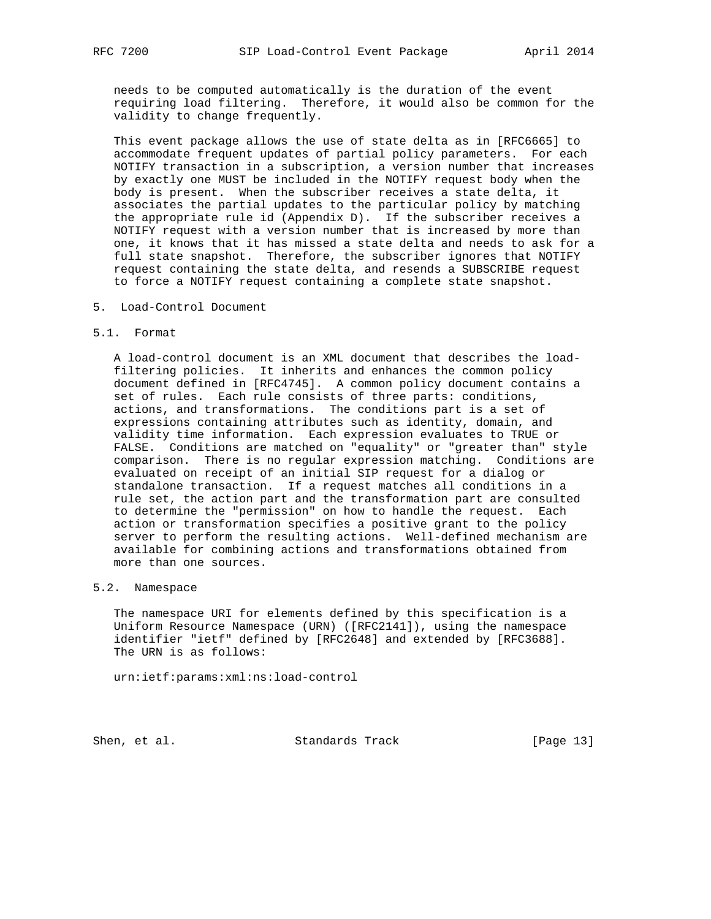needs to be computed automatically is the duration of the event requiring load filtering. Therefore, it would also be common for the validity to change frequently.

 This event package allows the use of state delta as in [RFC6665] to accommodate frequent updates of partial policy parameters. For each NOTIFY transaction in a subscription, a version number that increases by exactly one MUST be included in the NOTIFY request body when the body is present. When the subscriber receives a state delta, it associates the partial updates to the particular policy by matching the appropriate rule id (Appendix D). If the subscriber receives a NOTIFY request with a version number that is increased by more than one, it knows that it has missed a state delta and needs to ask for a full state snapshot. Therefore, the subscriber ignores that NOTIFY request containing the state delta, and resends a SUBSCRIBE request to force a NOTIFY request containing a complete state snapshot.

5. Load-Control Document

#### 5.1. Format

 A load-control document is an XML document that describes the load filtering policies. It inherits and enhances the common policy document defined in [RFC4745]. A common policy document contains a set of rules. Each rule consists of three parts: conditions, actions, and transformations. The conditions part is a set of expressions containing attributes such as identity, domain, and validity time information. Each expression evaluates to TRUE or FALSE. Conditions are matched on "equality" or "greater than" style comparison. There is no regular expression matching. Conditions are evaluated on receipt of an initial SIP request for a dialog or standalone transaction. If a request matches all conditions in a rule set, the action part and the transformation part are consulted to determine the "permission" on how to handle the request. Each action or transformation specifies a positive grant to the policy server to perform the resulting actions. Well-defined mechanism are available for combining actions and transformations obtained from more than one sources.

# 5.2. Namespace

 The namespace URI for elements defined by this specification is a Uniform Resource Namespace (URN) ([RFC2141]), using the namespace identifier "ietf" defined by [RFC2648] and extended by [RFC3688]. The URN is as follows:

urn:ietf:params:xml:ns:load-control

Shen, et al. Standards Track [Page 13]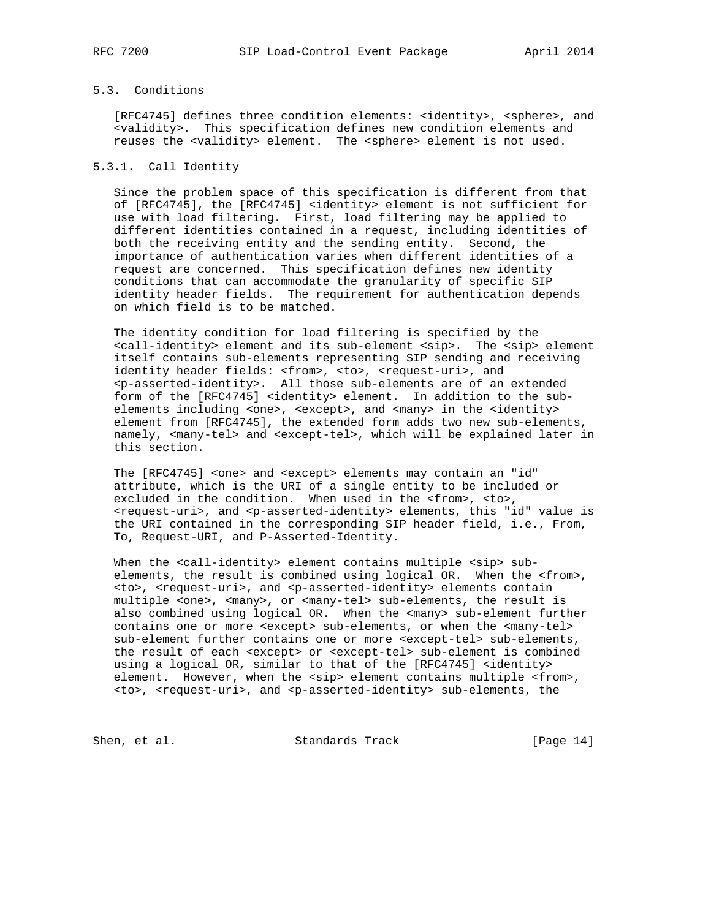# 5.3. Conditions

[RFC4745] defines three condition elements: <identity>, <sphere>, and <validity>. This specification defines new condition elements and reuses the <validity> element. The <sphere> element is not used.

#### 5.3.1. Call Identity

 Since the problem space of this specification is different from that of [RFC4745], the [RFC4745] <identity> element is not sufficient for use with load filtering. First, load filtering may be applied to different identities contained in a request, including identities of both the receiving entity and the sending entity. Second, the importance of authentication varies when different identities of a request are concerned. This specification defines new identity conditions that can accommodate the granularity of specific SIP identity header fields. The requirement for authentication depends on which field is to be matched.

 The identity condition for load filtering is specified by the <call-identity> element and its sub-element <sip>. The <sip> element itself contains sub-elements representing SIP sending and receiving identity header fields: <from>, <to>, <request-uri>, and <p-asserted-identity>. All those sub-elements are of an extended form of the [RFC4745] <identity> element. In addition to the sub elements including <one>, <except>, and <many> in the <identity> element from [RFC4745], the extended form adds two new sub-elements, namely, <many-tel> and <except-tel>, which will be explained later in this section.

The [RFC4745] <one> and <except> elements may contain an "id" attribute, which is the URI of a single entity to be included or excluded in the condition. When used in the <from>, <to>, <request-uri>, and <p-asserted-identity> elements, this "id" value is the URI contained in the corresponding SIP header field, i.e., From, To, Request-URI, and P-Asserted-Identity.

When the <call-identity> element contains multiple <sip> sub elements, the result is combined using logical OR. When the <from>, <to>, <request-uri>, and <p-asserted-identity> elements contain multiple <one>, <many>, or <many-tel> sub-elements, the result is also combined using logical OR. When the <many> sub-element further contains one or more <except> sub-elements, or when the <many-tel> sub-element further contains one or more <except-tel> sub-elements, the result of each <except> or <except-tel> sub-element is combined using a logical OR, similar to that of the [RFC4745] <identity> element. However, when the <sip> element contains multiple <from>, <to>, <request-uri>, and <p-asserted-identity> sub-elements, the

Shen, et al. Standards Track [Page 14]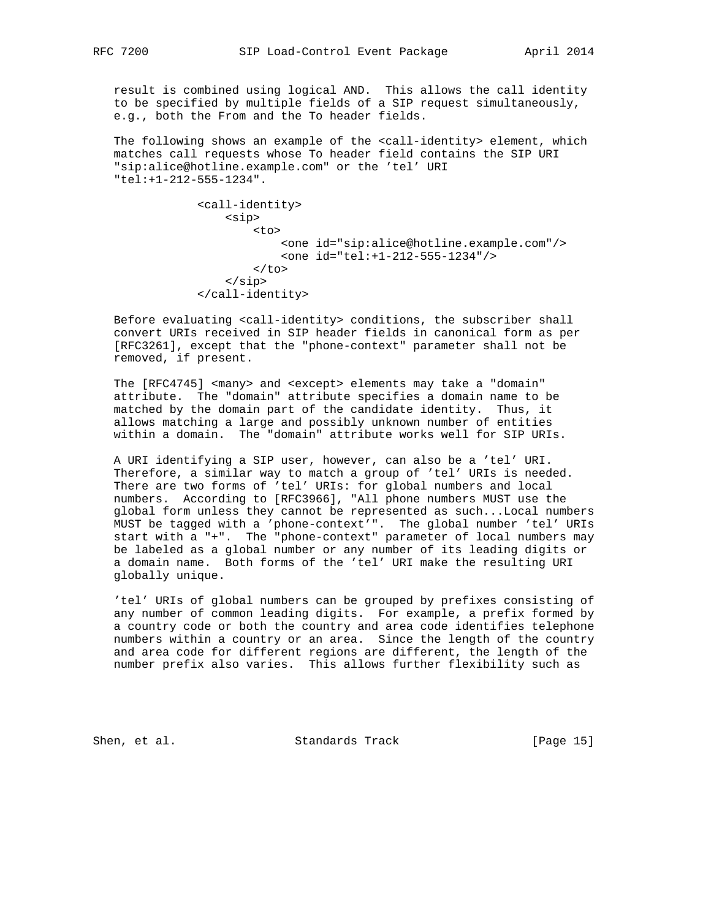result is combined using logical AND. This allows the call identity to be specified by multiple fields of a SIP request simultaneously, e.g., both the From and the To header fields.

The following shows an example of the <call-identity> element, which matches call requests whose To header field contains the SIP URI "sip:alice@hotline.example.com" or the 'tel' URI "tel:+1-212-555-1234".

```
 <call-identity>
      <sip>
          <sub>+\n0</sub></sub>
                <one id="sip:alice@hotline.example.com"/>
                <one id="tel:+1-212-555-1234"/>
          \langle /to>
      </sip>
 </call-identity>
```
 Before evaluating <call-identity> conditions, the subscriber shall convert URIs received in SIP header fields in canonical form as per [RFC3261], except that the "phone-context" parameter shall not be removed, if present.

 The [RFC4745] <many> and <except> elements may take a "domain" attribute. The "domain" attribute specifies a domain name to be matched by the domain part of the candidate identity. Thus, it allows matching a large and possibly unknown number of entities within a domain. The "domain" attribute works well for SIP URIs.

 A URI identifying a SIP user, however, can also be a 'tel' URI. Therefore, a similar way to match a group of 'tel' URIs is needed. There are two forms of 'tel' URIs: for global numbers and local numbers. According to [RFC3966], "All phone numbers MUST use the global form unless they cannot be represented as such...Local numbers MUST be tagged with a 'phone-context'". The global number 'tel' URIs start with a "+". The "phone-context" parameter of local numbers may be labeled as a global number or any number of its leading digits or a domain name. Both forms of the 'tel' URI make the resulting URI globally unique.

 'tel' URIs of global numbers can be grouped by prefixes consisting of any number of common leading digits. For example, a prefix formed by a country code or both the country and area code identifies telephone numbers within a country or an area. Since the length of the country and area code for different regions are different, the length of the number prefix also varies. This allows further flexibility such as

Shen, et al. Standards Track [Page 15]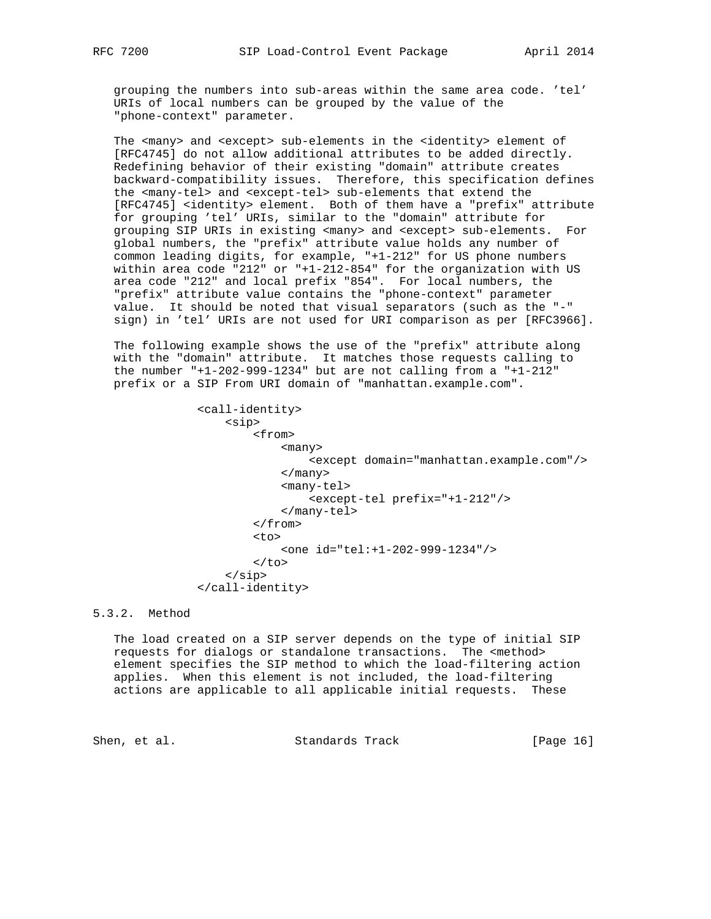grouping the numbers into sub-areas within the same area code. 'tel' URIs of local numbers can be grouped by the value of the "phone-context" parameter.

The <many> and <except> sub-elements in the <identity> element of [RFC4745] do not allow additional attributes to be added directly. Redefining behavior of their existing "domain" attribute creates backward-compatibility issues. Therefore, this specification defines the <many-tel> and <except-tel> sub-elements that extend the [RFC4745] <identity> element. Both of them have a "prefix" attribute for grouping 'tel' URIs, similar to the "domain" attribute for grouping SIP URIs in existing <many> and <except> sub-elements. For global numbers, the "prefix" attribute value holds any number of common leading digits, for example, "+1-212" for US phone numbers within area code "212" or "+1-212-854" for the organization with US area code "212" and local prefix "854". For local numbers, the "prefix" attribute value contains the "phone-context" parameter value. It should be noted that visual separators (such as the "-" sign) in 'tel' URIs are not used for URI comparison as per [RFC3966].

 The following example shows the use of the "prefix" attribute along with the "domain" attribute. It matches those requests calling to the number  $"+1-202-999-1234"$  but are not calling from a  $"+1-212"$ prefix or a SIP From URI domain of "manhattan.example.com".

 <call-identity> <sip> <from> <many> <except domain="manhattan.example.com"/> </many> <many-tel> <except-tel prefix="+1-212"/> </many-tel> </from> the contract of the contract of the contract of the contract of the contract of the contract of the contract of the contract of the contract of the contract of the contract of the contract of the contract of the contract o <one id="tel:+1-202-999-1234"/>  $\langle$ to> </sip> </call-identity>

5.3.2. Method

 The load created on a SIP server depends on the type of initial SIP requests for dialogs or standalone transactions. The <method> element specifies the SIP method to which the load-filtering action applies. When this element is not included, the load-filtering actions are applicable to all applicable initial requests. These

Shen, et al. Standards Track [Page 16]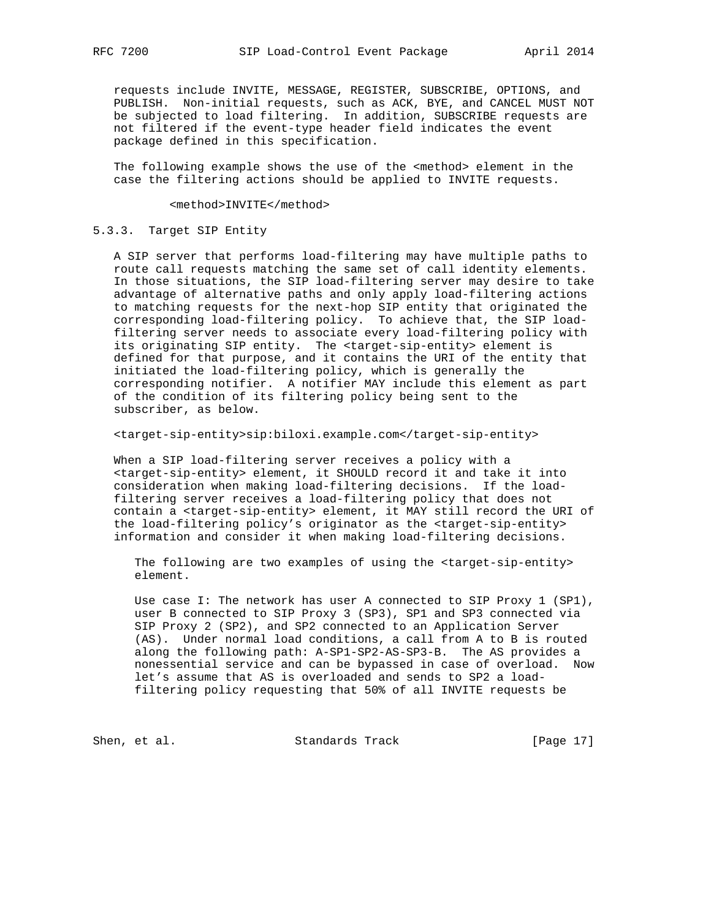requests include INVITE, MESSAGE, REGISTER, SUBSCRIBE, OPTIONS, and PUBLISH. Non-initial requests, such as ACK, BYE, and CANCEL MUST NOT be subjected to load filtering. In addition, SUBSCRIBE requests are not filtered if the event-type header field indicates the event package defined in this specification.

 The following example shows the use of the <method> element in the case the filtering actions should be applied to INVITE requests.

<method>INVITE</method>

#### 5.3.3. Target SIP Entity

 A SIP server that performs load-filtering may have multiple paths to route call requests matching the same set of call identity elements. In those situations, the SIP load-filtering server may desire to take advantage of alternative paths and only apply load-filtering actions to matching requests for the next-hop SIP entity that originated the corresponding load-filtering policy. To achieve that, the SIP load filtering server needs to associate every load-filtering policy with its originating SIP entity. The <target-sip-entity> element is defined for that purpose, and it contains the URI of the entity that initiated the load-filtering policy, which is generally the corresponding notifier. A notifier MAY include this element as part of the condition of its filtering policy being sent to the subscriber, as below.

<target-sip-entity>sip:biloxi.example.com</target-sip-entity>

 When a SIP load-filtering server receives a policy with a <target-sip-entity> element, it SHOULD record it and take it into consideration when making load-filtering decisions. If the load filtering server receives a load-filtering policy that does not contain a <target-sip-entity> element, it MAY still record the URI of the load-filtering policy's originator as the <target-sip-entity> information and consider it when making load-filtering decisions.

 The following are two examples of using the <target-sip-entity> element.

 Use case I: The network has user A connected to SIP Proxy 1 (SP1), user B connected to SIP Proxy 3 (SP3), SP1 and SP3 connected via SIP Proxy 2 (SP2), and SP2 connected to an Application Server (AS). Under normal load conditions, a call from A to B is routed along the following path: A-SP1-SP2-AS-SP3-B. The AS provides a nonessential service and can be bypassed in case of overload. Now let's assume that AS is overloaded and sends to SP2 a load filtering policy requesting that 50% of all INVITE requests be

Shen, et al. Standards Track [Page 17]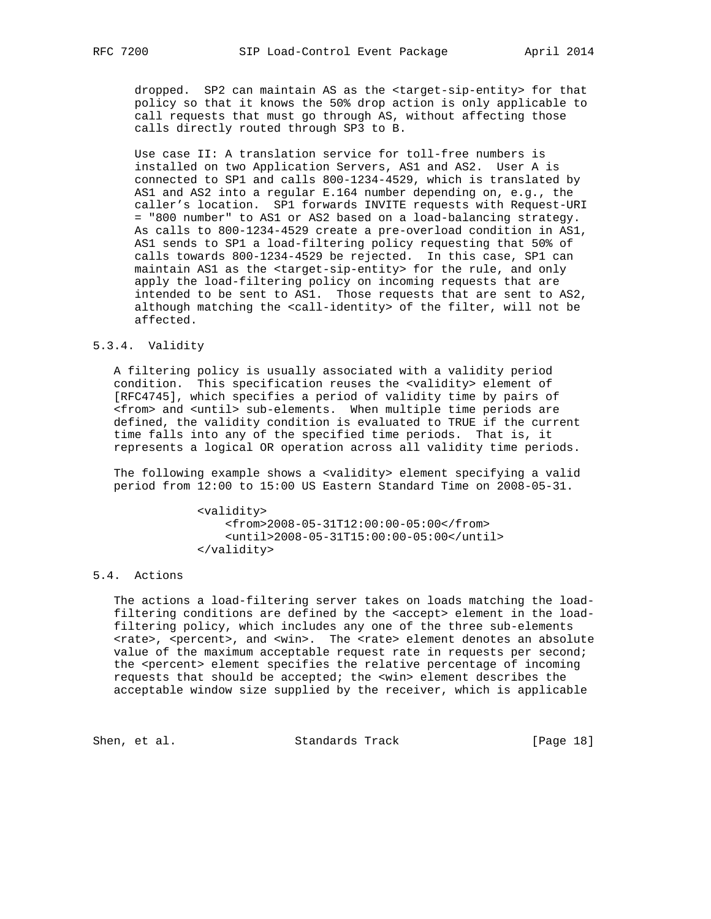dropped. SP2 can maintain AS as the <target-sip-entity> for that policy so that it knows the 50% drop action is only applicable to call requests that must go through AS, without affecting those calls directly routed through SP3 to B.

 Use case II: A translation service for toll-free numbers is installed on two Application Servers, AS1 and AS2. User A is connected to SP1 and calls 800-1234-4529, which is translated by AS1 and AS2 into a regular E.164 number depending on, e.g., the caller's location. SP1 forwards INVITE requests with Request-URI = "800 number" to AS1 or AS2 based on a load-balancing strategy. As calls to 800-1234-4529 create a pre-overload condition in AS1, AS1 sends to SP1 a load-filtering policy requesting that 50% of calls towards 800-1234-4529 be rejected. In this case, SP1 can maintain AS1 as the <target-sip-entity> for the rule, and only apply the load-filtering policy on incoming requests that are intended to be sent to AS1. Those requests that are sent to AS2, although matching the <call-identity> of the filter, will not be affected.

## 5.3.4. Validity

 A filtering policy is usually associated with a validity period condition. This specification reuses the <validity> element of [RFC4745], which specifies a period of validity time by pairs of <from> and <until> sub-elements. When multiple time periods are defined, the validity condition is evaluated to TRUE if the current time falls into any of the specified time periods. That is, it represents a logical OR operation across all validity time periods.

 The following example shows a <validity> element specifying a valid period from 12:00 to 15:00 US Eastern Standard Time on 2008-05-31.

> <validity> <from>2008-05-31T12:00:00-05:00</from> <until>2008-05-31T15:00:00-05:00</until> </validity>

# 5.4. Actions

 The actions a load-filtering server takes on loads matching the load filtering conditions are defined by the <accept> element in the load filtering policy, which includes any one of the three sub-elements <rate>, <percent>, and <win>. The <rate> element denotes an absolute value of the maximum acceptable request rate in requests per second; the <percent> element specifies the relative percentage of incoming requests that should be accepted; the <win> element describes the acceptable window size supplied by the receiver, which is applicable

Shen, et al. Standards Track [Page 18]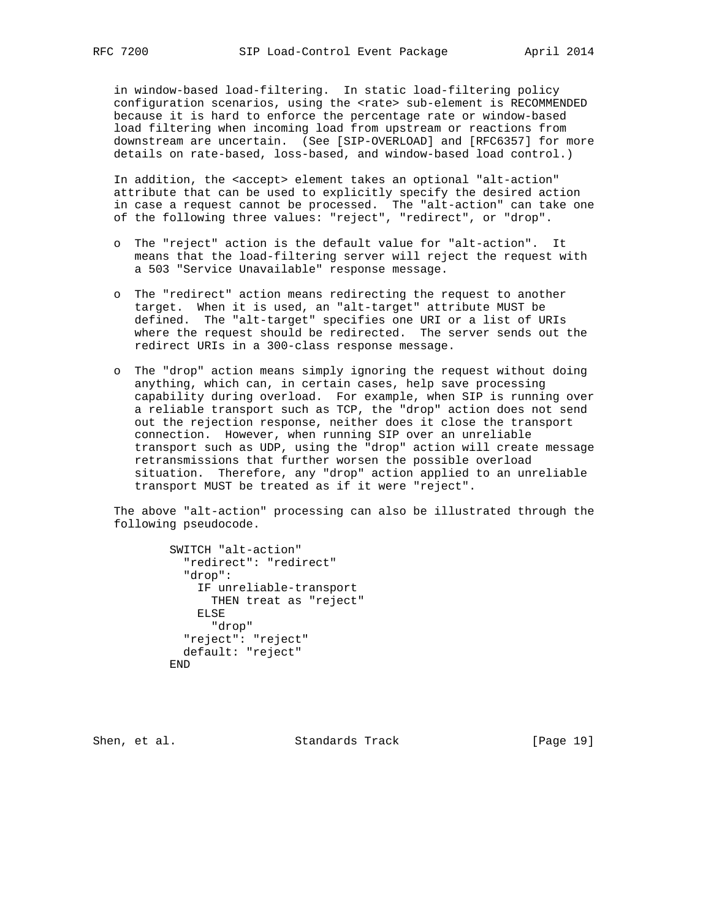in window-based load-filtering. In static load-filtering policy configuration scenarios, using the <rate> sub-element is RECOMMENDED because it is hard to enforce the percentage rate or window-based load filtering when incoming load from upstream or reactions from downstream are uncertain. (See [SIP-OVERLOAD] and [RFC6357] for more details on rate-based, loss-based, and window-based load control.)

 In addition, the <accept> element takes an optional "alt-action" attribute that can be used to explicitly specify the desired action in case a request cannot be processed. The "alt-action" can take one of the following three values: "reject", "redirect", or "drop".

- o The "reject" action is the default value for "alt-action". It means that the load-filtering server will reject the request with a 503 "Service Unavailable" response message.
- o The "redirect" action means redirecting the request to another target. When it is used, an "alt-target" attribute MUST be defined. The "alt-target" specifies one URI or a list of URIs where the request should be redirected. The server sends out the redirect URIs in a 300-class response message.
- o The "drop" action means simply ignoring the request without doing anything, which can, in certain cases, help save processing capability during overload. For example, when SIP is running over a reliable transport such as TCP, the "drop" action does not send out the rejection response, neither does it close the transport connection. However, when running SIP over an unreliable transport such as UDP, using the "drop" action will create message retransmissions that further worsen the possible overload situation. Therefore, any "drop" action applied to an unreliable transport MUST be treated as if it were "reject".

 The above "alt-action" processing can also be illustrated through the following pseudocode.

> SWITCH "alt-action" "redirect": "redirect" "drop": IF unreliable-transport THEN treat as "reject" ELSE "drop" "reject": "reject" default: "reject" END

Shen, et al. Standards Track [Page 19]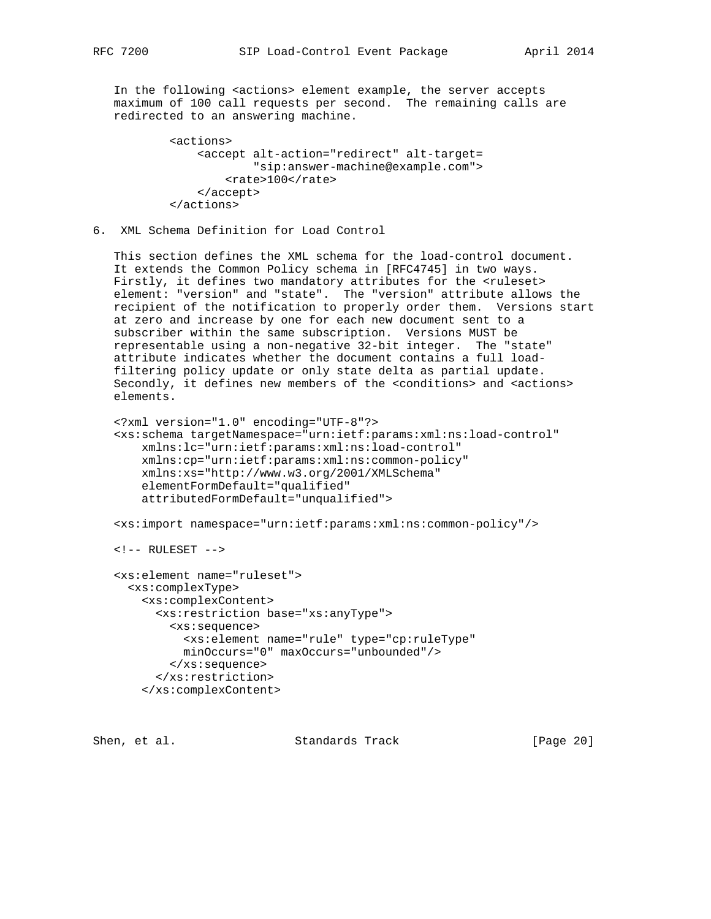In the following <actions> element example, the server accepts maximum of 100 call requests per second. The remaining calls are redirected to an answering machine.

```
 <actions>
     <accept alt-action="redirect" alt-target=
             "sip:answer-machine@example.com">
         <rate>100</rate>
     </accept>
 </actions>
```
6. XML Schema Definition for Load Control

 This section defines the XML schema for the load-control document. It extends the Common Policy schema in [RFC4745] in two ways. Firstly, it defines two mandatory attributes for the <ruleset> element: "version" and "state". The "version" attribute allows the recipient of the notification to properly order them. Versions start at zero and increase by one for each new document sent to a subscriber within the same subscription. Versions MUST be representable using a non-negative 32-bit integer. The "state" attribute indicates whether the document contains a full load filtering policy update or only state delta as partial update. Secondly, it defines new members of the <conditions> and <actions> elements.

```
 <?xml version="1.0" encoding="UTF-8"?>
 <xs:schema targetNamespace="urn:ietf:params:xml:ns:load-control"
     xmlns:lc="urn:ietf:params:xml:ns:load-control"
    xmlns:cp="urn:ietf:params:xml:ns:common-policy"
    xmlns:xs="http://www.w3.org/2001/XMLSchema"
     elementFormDefault="qualified"
     attributedFormDefault="unqualified">
```
<xs:import namespace="urn:ietf:params:xml:ns:common-policy"/>

```
 <!-- RULESET -->
```

```
 <xs:element name="ruleset">
  <xs:complexType>
     <xs:complexContent>
       <xs:restriction base="xs:anyType">
         <xs:sequence>
           <xs:element name="rule" type="cp:ruleType"
           minOccurs="0" maxOccurs="unbounded"/>
         </xs:sequence>
       </xs:restriction>
     </xs:complexContent>
```
Shen, et al. Standards Track [Page 20]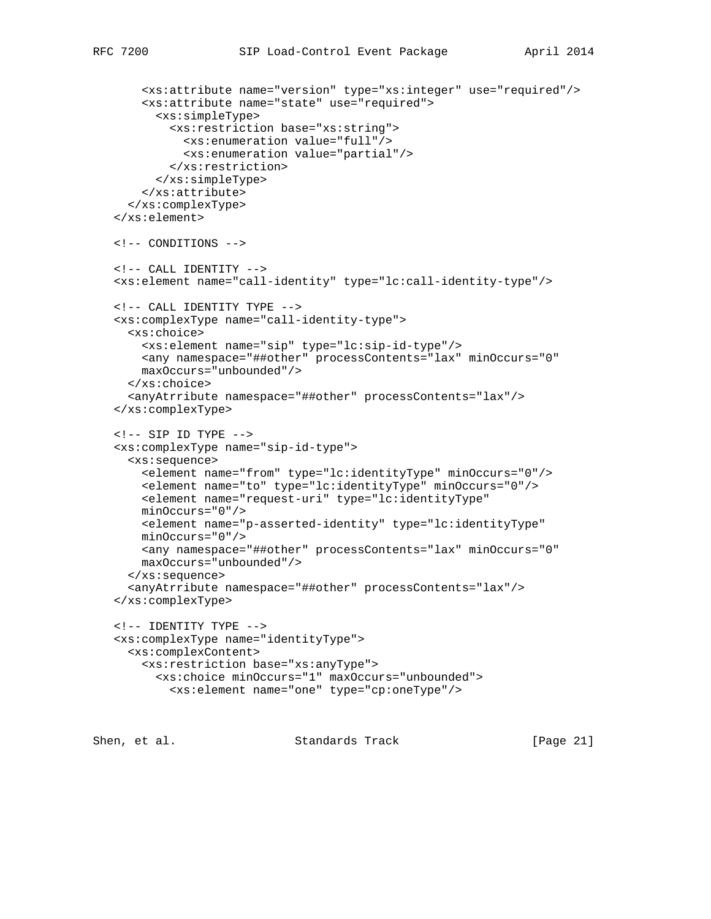```
 <xs:attribute name="version" type="xs:integer" use="required"/>
        <xs:attribute name="state" use="required">
          <xs:simpleType>
            <xs:restriction base="xs:string">
              <xs:enumeration value="full"/>
              <xs:enumeration value="partial"/>
            </xs:restriction>
          </xs:simpleType>
        </xs:attribute>
      </xs:complexType>
    </xs:element>
    <!-- CONDITIONS -->
    <!-- CALL IDENTITY -->
    <xs:element name="call-identity" type="lc:call-identity-type"/>
    <!-- CALL IDENTITY TYPE -->
    <xs:complexType name="call-identity-type">
      <xs:choice>
        <xs:element name="sip" type="lc:sip-id-type"/>
       <any namespace="##other" processContents="lax" minOccurs="0"
       maxOccurs="unbounded"/>
      </xs:choice>
      <anyAtrribute namespace="##other" processContents="lax"/>
    </xs:complexType>
   \texttt{<!--} SIP ID TYPE \texttt{--}> <xs:complexType name="sip-id-type">
      <xs:sequence>
       <element name="from" type="lc:identityType" minOccurs="0"/>
       <element name="to" type="lc:identityType" minOccurs="0"/>
       <element name="request-uri" type="lc:identityType"
       minOccurs="0"/>
       <element name="p-asserted-identity" type="lc:identityType"
       minOccurs="0"/>
       <any namespace="##other" processContents="lax" minOccurs="0"
       maxOccurs="unbounded"/>
      </xs:sequence>
      <anyAtrribute namespace="##other" processContents="lax"/>
    </xs:complexType>
    <!-- IDENTITY TYPE -->
    <xs:complexType name="identityType">
      <xs:complexContent>
       <xs:restriction base="xs:anyType">
          <xs:choice minOccurs="1" maxOccurs="unbounded">
            <xs:element name="one" type="cp:oneType"/>
Shen, et al. Standards Track [Page 21]
```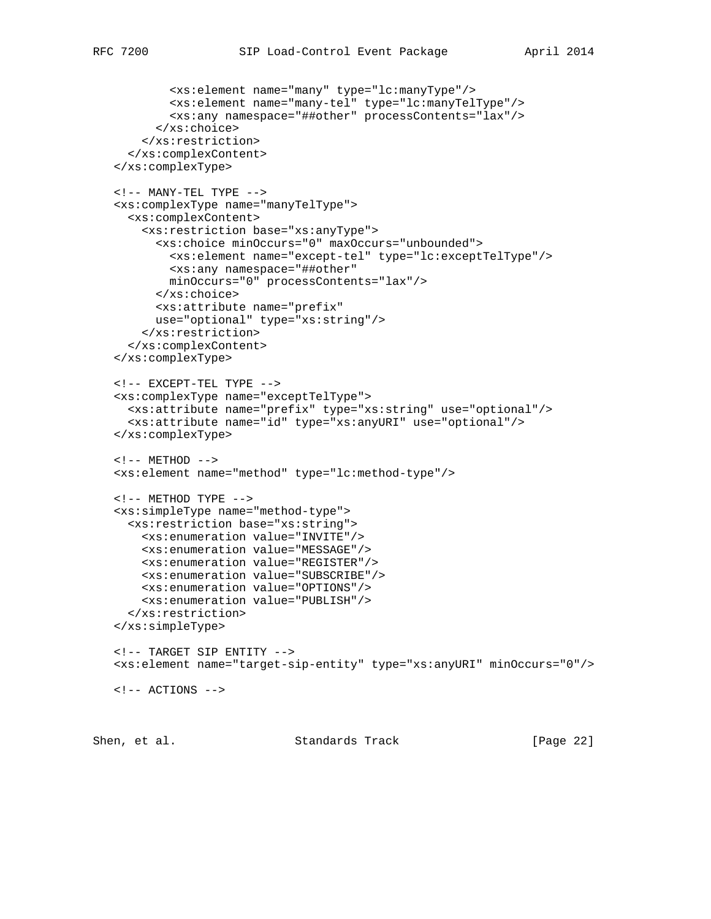```
 <xs:element name="many" type="lc:manyType"/>
```

```
 <xs:element name="many-tel" type="lc:manyTelType"/>
         <xs:any namespace="##other" processContents="lax"/>
       </xs:choice>
     </xs:restriction>
   </xs:complexContent>
 </xs:complexType>
\texttt{<!--} MANY-TEL TYPE -->
 <xs:complexType name="manyTelType">
   <xs:complexContent>
     <xs:restriction base="xs:anyType">
       <xs:choice minOccurs="0" maxOccurs="unbounded">
         <xs:element name="except-tel" type="lc:exceptTelType"/>
         <xs:any namespace="##other"
         minOccurs="0" processContents="lax"/>
       </xs:choice>
       <xs:attribute name="prefix"
       use="optional" type="xs:string"/>
     </xs:restriction>
   </xs:complexContent>
 </xs:complexType>
 <!-- EXCEPT-TEL TYPE -->
 <xs:complexType name="exceptTelType">
   <xs:attribute name="prefix" type="xs:string" use="optional"/>
   <xs:attribute name="id" type="xs:anyURI" use="optional"/>
 </xs:complexType>
\langle !-- METHOD -->
 <xs:element name="method" type="lc:method-type"/>
\langle !-- METHOD TYPE -->
 <xs:simpleType name="method-type">
   <xs:restriction base="xs:string">
     <xs:enumeration value="INVITE"/>
     <xs:enumeration value="MESSAGE"/>
     <xs:enumeration value="REGISTER"/>
     <xs:enumeration value="SUBSCRIBE"/>
     <xs:enumeration value="OPTIONS"/>
     <xs:enumeration value="PUBLISH"/>
   </xs:restriction>
 </xs:simpleType>
 <!-- TARGET SIP ENTITY -->
 <xs:element name="target-sip-entity" type="xs:anyURI" minOccurs="0"/>
\langle !-- ACTIONS -->
```
Shen, et al. Standards Track [Page 22]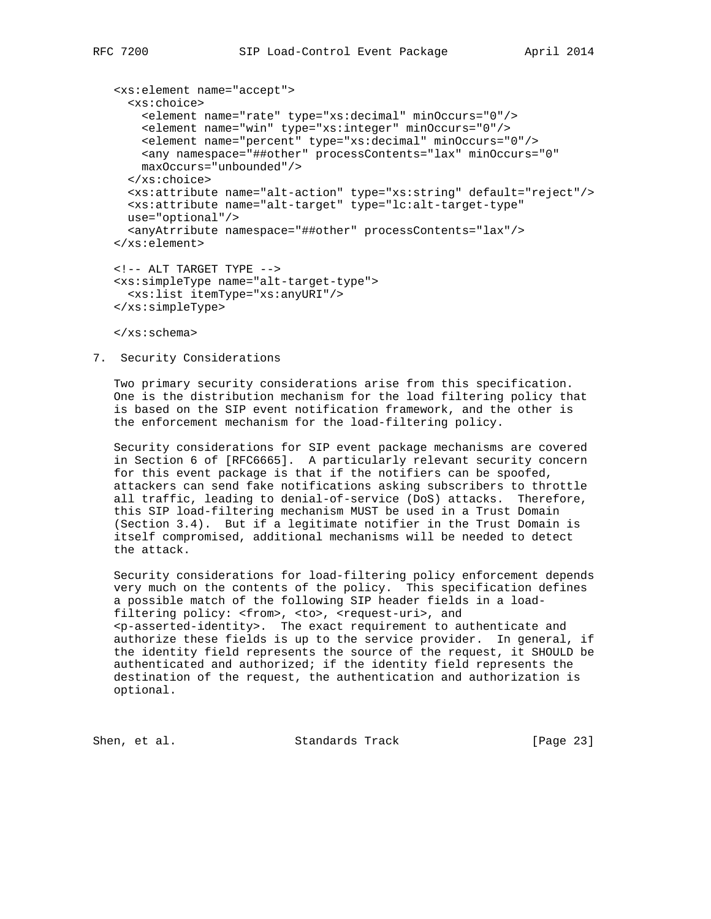```
 <xs:element name="accept">
   <xs:choice>
     <element name="rate" type="xs:decimal" minOccurs="0"/>
     <element name="win" type="xs:integer" minOccurs="0"/>
    <element name="percent" type="xs:decimal" minOccurs="0"/>
    <any namespace="##other" processContents="lax" minOccurs="0"
    maxOccurs="unbounded"/>
   </xs:choice>
  <xs:attribute name="alt-action" type="xs:string" default="reject"/>
  <xs:attribute name="alt-target" type="lc:alt-target-type"
  use="optional"/>
   <anyAtrribute namespace="##other" processContents="lax"/>
 </xs:element>
 <!-- ALT TARGET TYPE -->
 <xs:simpleType name="alt-target-type">
   <xs:list itemType="xs:anyURI"/>
 </xs:simpleType>
```
</xs:schema>

7. Security Considerations

 Two primary security considerations arise from this specification. One is the distribution mechanism for the load filtering policy that is based on the SIP event notification framework, and the other is the enforcement mechanism for the load-filtering policy.

 Security considerations for SIP event package mechanisms are covered in Section 6 of [RFC6665]. A particularly relevant security concern for this event package is that if the notifiers can be spoofed, attackers can send fake notifications asking subscribers to throttle all traffic, leading to denial-of-service (DoS) attacks. Therefore, this SIP load-filtering mechanism MUST be used in a Trust Domain (Section 3.4). But if a legitimate notifier in the Trust Domain is itself compromised, additional mechanisms will be needed to detect the attack.

 Security considerations for load-filtering policy enforcement depends very much on the contents of the policy. This specification defines a possible match of the following SIP header fields in a load filtering policy: <from>, <to>, <request-uri>, and <p-asserted-identity>. The exact requirement to authenticate and authorize these fields is up to the service provider. In general, if the identity field represents the source of the request, it SHOULD be authenticated and authorized; if the identity field represents the destination of the request, the authentication and authorization is optional.

Shen, et al. Standards Track [Page 23]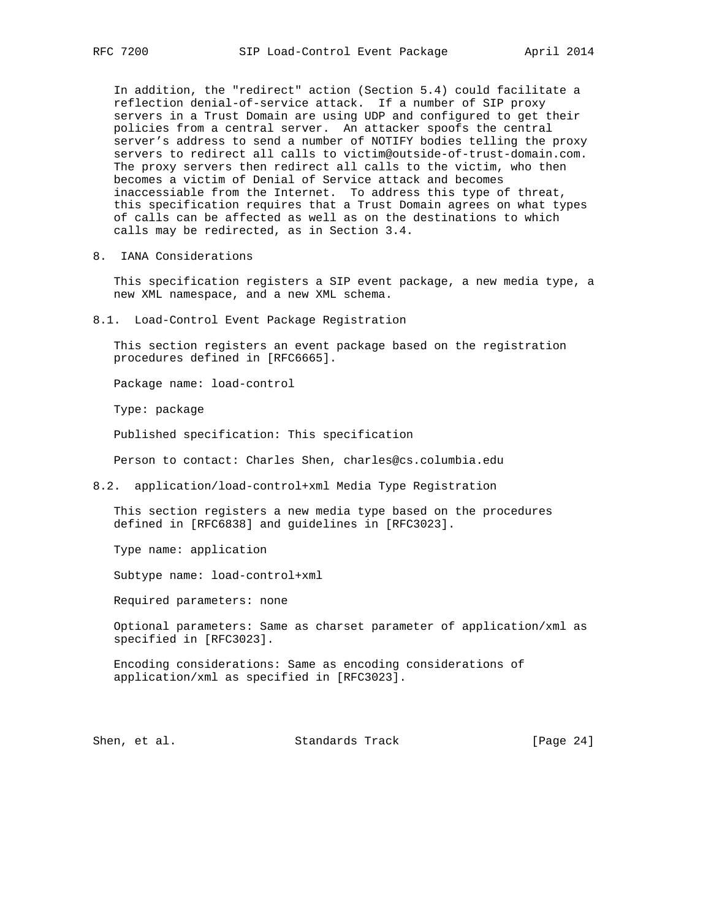In addition, the "redirect" action (Section 5.4) could facilitate a reflection denial-of-service attack. If a number of SIP proxy servers in a Trust Domain are using UDP and configured to get their policies from a central server. An attacker spoofs the central server's address to send a number of NOTIFY bodies telling the proxy servers to redirect all calls to victim@outside-of-trust-domain.com. The proxy servers then redirect all calls to the victim, who then becomes a victim of Denial of Service attack and becomes inaccessiable from the Internet. To address this type of threat, this specification requires that a Trust Domain agrees on what types of calls can be affected as well as on the destinations to which calls may be redirected, as in Section 3.4.

8. IANA Considerations

 This specification registers a SIP event package, a new media type, a new XML namespace, and a new XML schema.

8.1. Load-Control Event Package Registration

 This section registers an event package based on the registration procedures defined in [RFC6665].

Package name: load-control

Type: package

Published specification: This specification

Person to contact: Charles Shen, charles@cs.columbia.edu

8.2. application/load-control+xml Media Type Registration

 This section registers a new media type based on the procedures defined in [RFC6838] and guidelines in [RFC3023].

Type name: application

Subtype name: load-control+xml

Required parameters: none

 Optional parameters: Same as charset parameter of application/xml as specified in [RFC3023].

 Encoding considerations: Same as encoding considerations of application/xml as specified in [RFC3023].

Shen, et al. Standards Track [Page 24]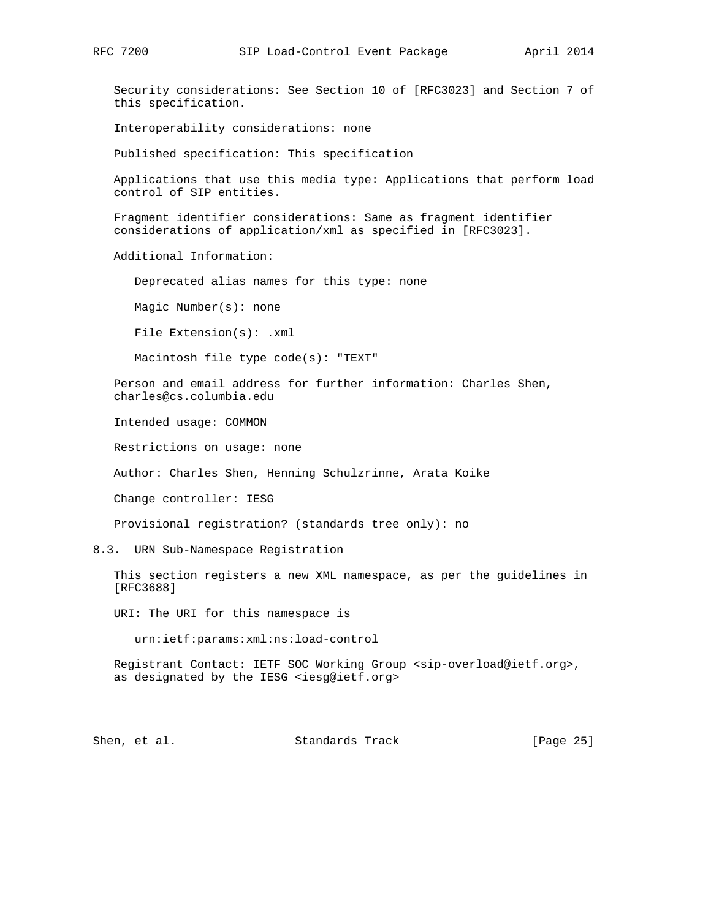Security considerations: See Section 10 of [RFC3023] and Section 7 of this specification.

Interoperability considerations: none

Published specification: This specification

 Applications that use this media type: Applications that perform load control of SIP entities.

 Fragment identifier considerations: Same as fragment identifier considerations of application/xml as specified in [RFC3023].

Additional Information:

Deprecated alias names for this type: none

Magic Number(s): none

File Extension(s): .xml

Macintosh file type code(s): "TEXT"

 Person and email address for further information: Charles Shen, charles@cs.columbia.edu

Intended usage: COMMON

Restrictions on usage: none

Author: Charles Shen, Henning Schulzrinne, Arata Koike

Change controller: IESG

Provisional registration? (standards tree only): no

8.3. URN Sub-Namespace Registration

 This section registers a new XML namespace, as per the guidelines in [RFC3688]

URI: The URI for this namespace is

urn:ietf:params:xml:ns:load-control

 Registrant Contact: IETF SOC Working Group <sip-overload@ietf.org>, as designated by the IESG <iesg@ietf.org>

Shen, et al. Standards Track [Page 25]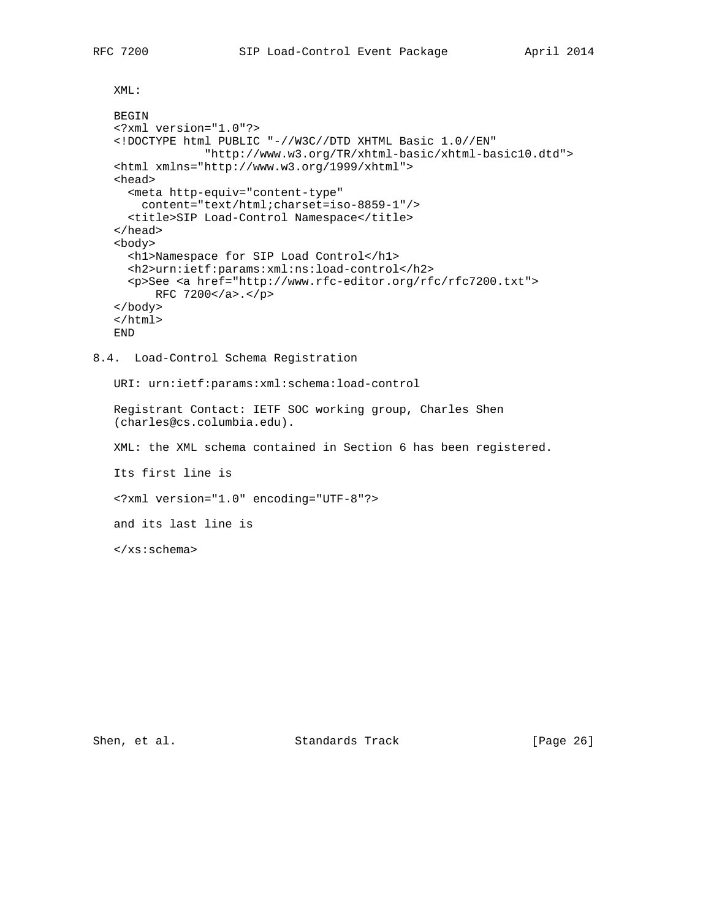XML:

```
 BEGIN
    <?xml version="1.0"?>
    <!DOCTYPE html PUBLIC "-//W3C//DTD XHTML Basic 1.0//EN"
                 "http://www.w3.org/TR/xhtml-basic/xhtml-basic10.dtd">
    <html xmlns="http://www.w3.org/1999/xhtml">
    <head>
      <meta http-equiv="content-type"
       content="text/html;charset=iso-8859-1"/>
     <title>SIP Load-Control Namespace</title>
    </head>
    <body>
      <h1>Namespace for SIP Load Control</h1>
      <h2>urn:ietf:params:xml:ns:load-control</h2>
     <p>See <a href="http://www.rfc-editor.org/rfc/rfc7200.txt">
         RFC 7200</a>.</p>
    </body>
    </html>
    END
8.4. Load-Control Schema Registration
```
URI: urn:ietf:params:xml:schema:load-control

 Registrant Contact: IETF SOC working group, Charles Shen (charles@cs.columbia.edu).

XML: the XML schema contained in Section 6 has been registered.

Its first line is

<?xml version="1.0" encoding="UTF-8"?>

and its last line is

</xs:schema>

Shen, et al. Standards Track [Page 26]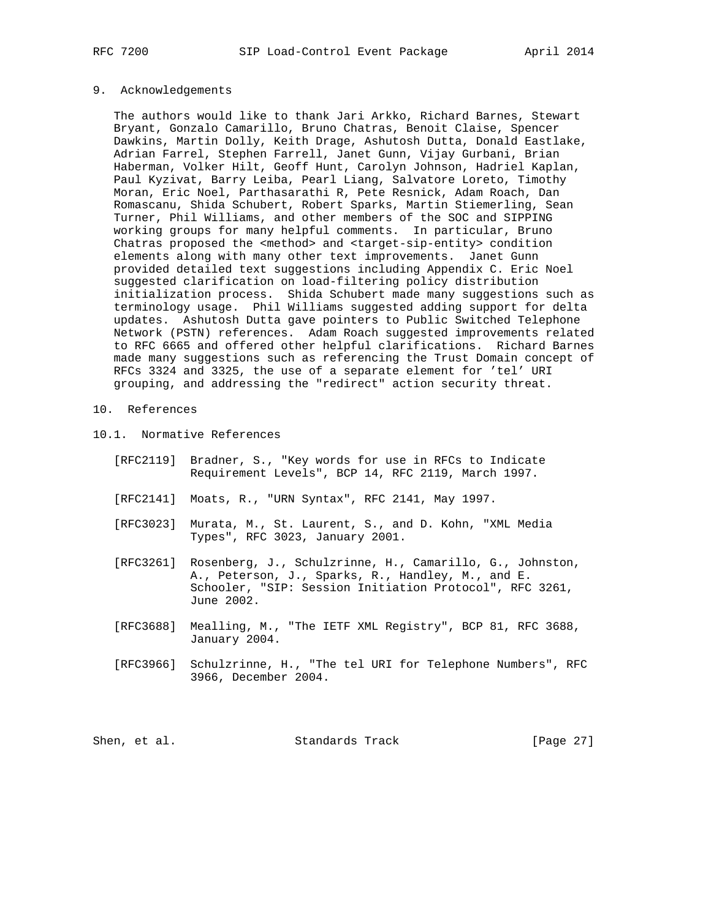#### 9. Acknowledgements

 The authors would like to thank Jari Arkko, Richard Barnes, Stewart Bryant, Gonzalo Camarillo, Bruno Chatras, Benoit Claise, Spencer Dawkins, Martin Dolly, Keith Drage, Ashutosh Dutta, Donald Eastlake, Adrian Farrel, Stephen Farrell, Janet Gunn, Vijay Gurbani, Brian Haberman, Volker Hilt, Geoff Hunt, Carolyn Johnson, Hadriel Kaplan, Paul Kyzivat, Barry Leiba, Pearl Liang, Salvatore Loreto, Timothy Moran, Eric Noel, Parthasarathi R, Pete Resnick, Adam Roach, Dan Romascanu, Shida Schubert, Robert Sparks, Martin Stiemerling, Sean Turner, Phil Williams, and other members of the SOC and SIPPING working groups for many helpful comments. In particular, Bruno Chatras proposed the <method> and <target-sip-entity> condition elements along with many other text improvements. Janet Gunn provided detailed text suggestions including Appendix C. Eric Noel suggested clarification on load-filtering policy distribution initialization process. Shida Schubert made many suggestions such as terminology usage. Phil Williams suggested adding support for delta updates. Ashutosh Dutta gave pointers to Public Switched Telephone Network (PSTN) references. Adam Roach suggested improvements related to RFC 6665 and offered other helpful clarifications. Richard Barnes made many suggestions such as referencing the Trust Domain concept of RFCs 3324 and 3325, the use of a separate element for 'tel' URI grouping, and addressing the "redirect" action security threat.

## 10. References

## 10.1. Normative References

- [RFC2119] Bradner, S., "Key words for use in RFCs to Indicate Requirement Levels", BCP 14, RFC 2119, March 1997.
- [RFC2141] Moats, R., "URN Syntax", RFC 2141, May 1997.
- [RFC3023] Murata, M., St. Laurent, S., and D. Kohn, "XML Media Types", RFC 3023, January 2001.
- [RFC3261] Rosenberg, J., Schulzrinne, H., Camarillo, G., Johnston, A., Peterson, J., Sparks, R., Handley, M., and E. Schooler, "SIP: Session Initiation Protocol", RFC 3261, June 2002.
- [RFC3688] Mealling, M., "The IETF XML Registry", BCP 81, RFC 3688, January 2004.
- [RFC3966] Schulzrinne, H., "The tel URI for Telephone Numbers", RFC 3966, December 2004.

| Shen, et al. |  | Standards Track | [Page 27] |  |
|--------------|--|-----------------|-----------|--|
|--------------|--|-----------------|-----------|--|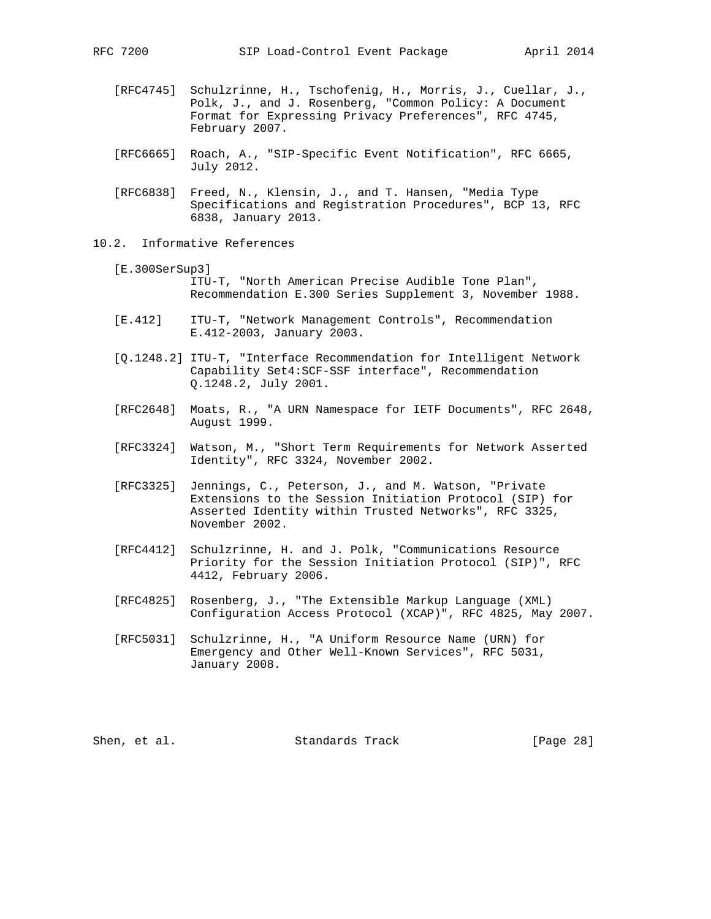- [RFC4745] Schulzrinne, H., Tschofenig, H., Morris, J., Cuellar, J., Polk, J., and J. Rosenberg, "Common Policy: A Document Format for Expressing Privacy Preferences", RFC 4745, February 2007.
- [RFC6665] Roach, A., "SIP-Specific Event Notification", RFC 6665, July 2012.
- [RFC6838] Freed, N., Klensin, J., and T. Hansen, "Media Type Specifications and Registration Procedures", BCP 13, RFC 6838, January 2013.
- 10.2. Informative References
	- [E.300SerSup3] ITU-T, "North American Precise Audible Tone Plan", Recommendation E.300 Series Supplement 3, November 1988.
	- [E.412] ITU-T, "Network Management Controls", Recommendation E.412-2003, January 2003.
	- [Q.1248.2] ITU-T, "Interface Recommendation for Intelligent Network Capability Set4:SCF-SSF interface", Recommendation Q.1248.2, July 2001.
	- [RFC2648] Moats, R., "A URN Namespace for IETF Documents", RFC 2648, August 1999.
	- [RFC3324] Watson, M., "Short Term Requirements for Network Asserted Identity", RFC 3324, November 2002.
	- [RFC3325] Jennings, C., Peterson, J., and M. Watson, "Private Extensions to the Session Initiation Protocol (SIP) for Asserted Identity within Trusted Networks", RFC 3325, November 2002.
	- [RFC4412] Schulzrinne, H. and J. Polk, "Communications Resource Priority for the Session Initiation Protocol (SIP)", RFC 4412, February 2006.
	- [RFC4825] Rosenberg, J., "The Extensible Markup Language (XML) Configuration Access Protocol (XCAP)", RFC 4825, May 2007.
	- [RFC5031] Schulzrinne, H., "A Uniform Resource Name (URN) for Emergency and Other Well-Known Services", RFC 5031, January 2008.

Shen, et al. Standards Track [Page 28]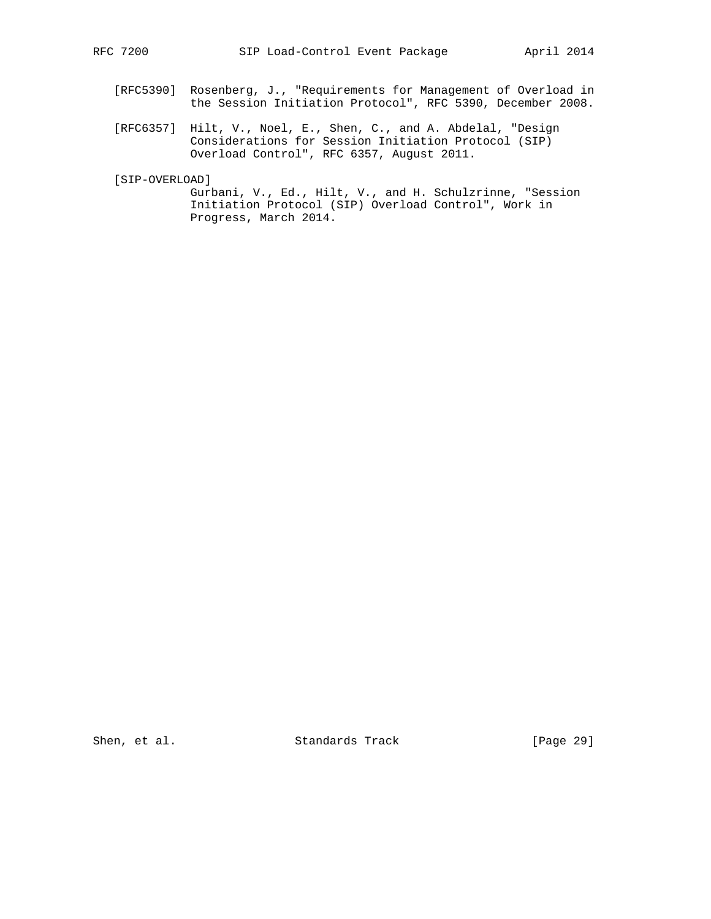- [RFC5390] Rosenberg, J., "Requirements for Management of Overload in the Session Initiation Protocol", RFC 5390, December 2008.
- [RFC6357] Hilt, V., Noel, E., Shen, C., and A. Abdelal, "Design Considerations for Session Initiation Protocol (SIP) Overload Control", RFC 6357, August 2011.

[SIP-OVERLOAD]

 Gurbani, V., Ed., Hilt, V., and H. Schulzrinne, "Session Initiation Protocol (SIP) Overload Control", Work in Progress, March 2014.

Shen, et al. Standards Track [Page 29]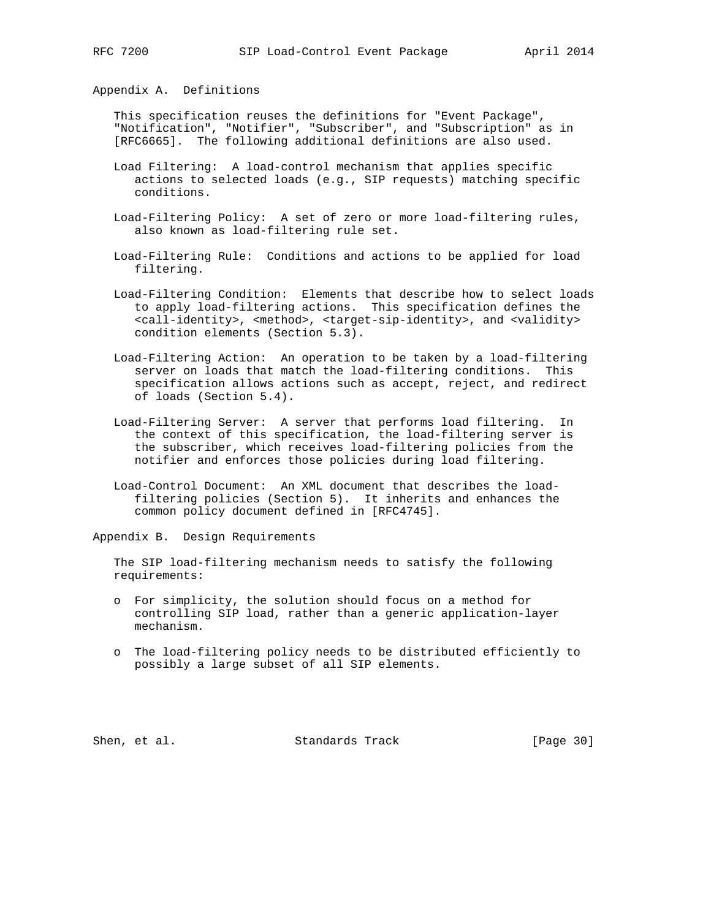Appendix A. Definitions

 This specification reuses the definitions for "Event Package", "Notification", "Notifier", "Subscriber", and "Subscription" as in [RFC6665]. The following additional definitions are also used.

- Load Filtering: A load-control mechanism that applies specific actions to selected loads (e.g., SIP requests) matching specific conditions.
- Load-Filtering Policy: A set of zero or more load-filtering rules, also known as load-filtering rule set.
- Load-Filtering Rule: Conditions and actions to be applied for load filtering.
- Load-Filtering Condition: Elements that describe how to select loads to apply load-filtering actions. This specification defines the <call-identity>, <method>, <target-sip-identity>, and <validity> condition elements (Section 5.3).
- Load-Filtering Action: An operation to be taken by a load-filtering server on loads that match the load-filtering conditions. This specification allows actions such as accept, reject, and redirect of loads (Section 5.4).
- Load-Filtering Server: A server that performs load filtering. In the context of this specification, the load-filtering server is the subscriber, which receives load-filtering policies from the notifier and enforces those policies during load filtering.
- Load-Control Document: An XML document that describes the load filtering policies (Section 5). It inherits and enhances the common policy document defined in [RFC4745].

Appendix B. Design Requirements

 The SIP load-filtering mechanism needs to satisfy the following requirements:

- o For simplicity, the solution should focus on a method for controlling SIP load, rather than a generic application-layer mechanism.
- o The load-filtering policy needs to be distributed efficiently to possibly a large subset of all SIP elements.

Shen, et al. Standards Track [Page 30]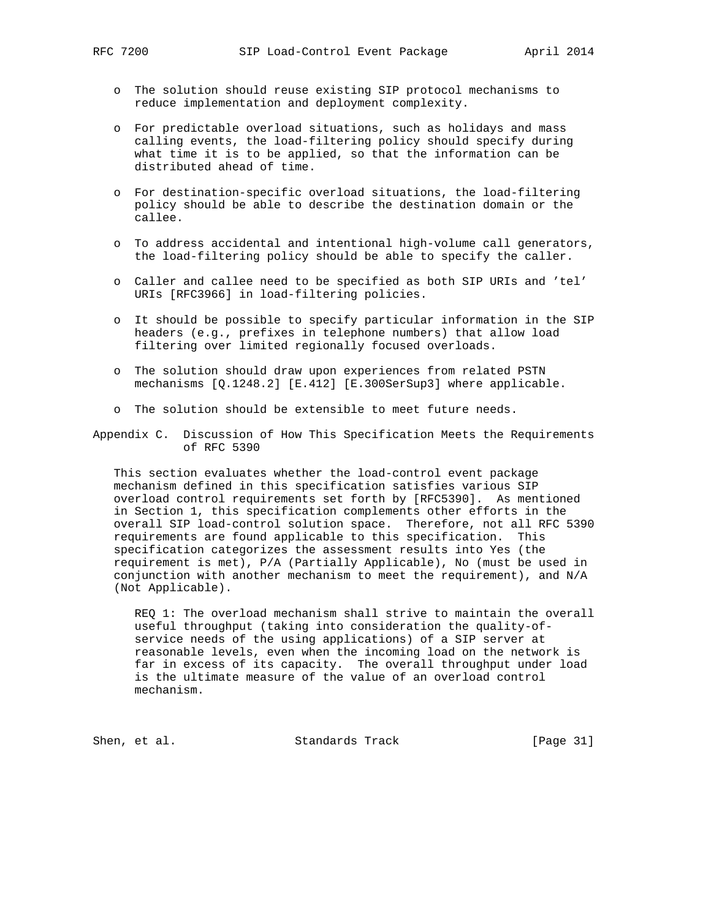- o The solution should reuse existing SIP protocol mechanisms to reduce implementation and deployment complexity.
- o For predictable overload situations, such as holidays and mass calling events, the load-filtering policy should specify during what time it is to be applied, so that the information can be distributed ahead of time.
- o For destination-specific overload situations, the load-filtering policy should be able to describe the destination domain or the callee.
- o To address accidental and intentional high-volume call generators, the load-filtering policy should be able to specify the caller.
- o Caller and callee need to be specified as both SIP URIs and 'tel' URIs [RFC3966] in load-filtering policies.
- o It should be possible to specify particular information in the SIP headers (e.g., prefixes in telephone numbers) that allow load filtering over limited regionally focused overloads.
- o The solution should draw upon experiences from related PSTN mechanisms [Q.1248.2] [E.412] [E.300SerSup3] where applicable.
- o The solution should be extensible to meet future needs.

Appendix C. Discussion of How This Specification Meets the Requirements of RFC 5390

 This section evaluates whether the load-control event package mechanism defined in this specification satisfies various SIP overload control requirements set forth by [RFC5390]. As mentioned in Section 1, this specification complements other efforts in the overall SIP load-control solution space. Therefore, not all RFC 5390 requirements are found applicable to this specification. This specification categorizes the assessment results into Yes (the requirement is met), P/A (Partially Applicable), No (must be used in conjunction with another mechanism to meet the requirement), and N/A (Not Applicable).

 REQ 1: The overload mechanism shall strive to maintain the overall useful throughput (taking into consideration the quality-of service needs of the using applications) of a SIP server at reasonable levels, even when the incoming load on the network is far in excess of its capacity. The overall throughput under load is the ultimate measure of the value of an overload control mechanism.

Shen, et al. Standards Track [Page 31]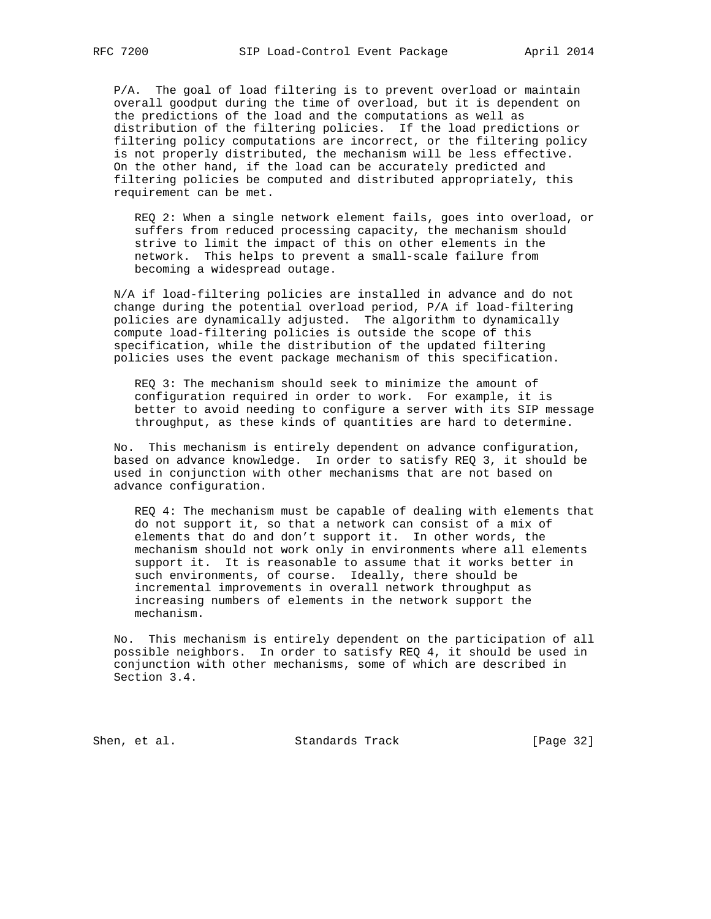P/A. The goal of load filtering is to prevent overload or maintain overall goodput during the time of overload, but it is dependent on the predictions of the load and the computations as well as distribution of the filtering policies. If the load predictions or filtering policy computations are incorrect, or the filtering policy is not properly distributed, the mechanism will be less effective. On the other hand, if the load can be accurately predicted and filtering policies be computed and distributed appropriately, this requirement can be met.

 REQ 2: When a single network element fails, goes into overload, or suffers from reduced processing capacity, the mechanism should strive to limit the impact of this on other elements in the network. This helps to prevent a small-scale failure from becoming a widespread outage.

 N/A if load-filtering policies are installed in advance and do not change during the potential overload period, P/A if load-filtering policies are dynamically adjusted. The algorithm to dynamically compute load-filtering policies is outside the scope of this specification, while the distribution of the updated filtering policies uses the event package mechanism of this specification.

 REQ 3: The mechanism should seek to minimize the amount of configuration required in order to work. For example, it is better to avoid needing to configure a server with its SIP message throughput, as these kinds of quantities are hard to determine.

 No. This mechanism is entirely dependent on advance configuration, based on advance knowledge. In order to satisfy REQ 3, it should be used in conjunction with other mechanisms that are not based on advance configuration.

 REQ 4: The mechanism must be capable of dealing with elements that do not support it, so that a network can consist of a mix of elements that do and don't support it. In other words, the mechanism should not work only in environments where all elements support it. It is reasonable to assume that it works better in such environments, of course. Ideally, there should be incremental improvements in overall network throughput as increasing numbers of elements in the network support the mechanism.

 No. This mechanism is entirely dependent on the participation of all possible neighbors. In order to satisfy REQ 4, it should be used in conjunction with other mechanisms, some of which are described in Section 3.4.

Shen, et al. Standards Track [Page 32]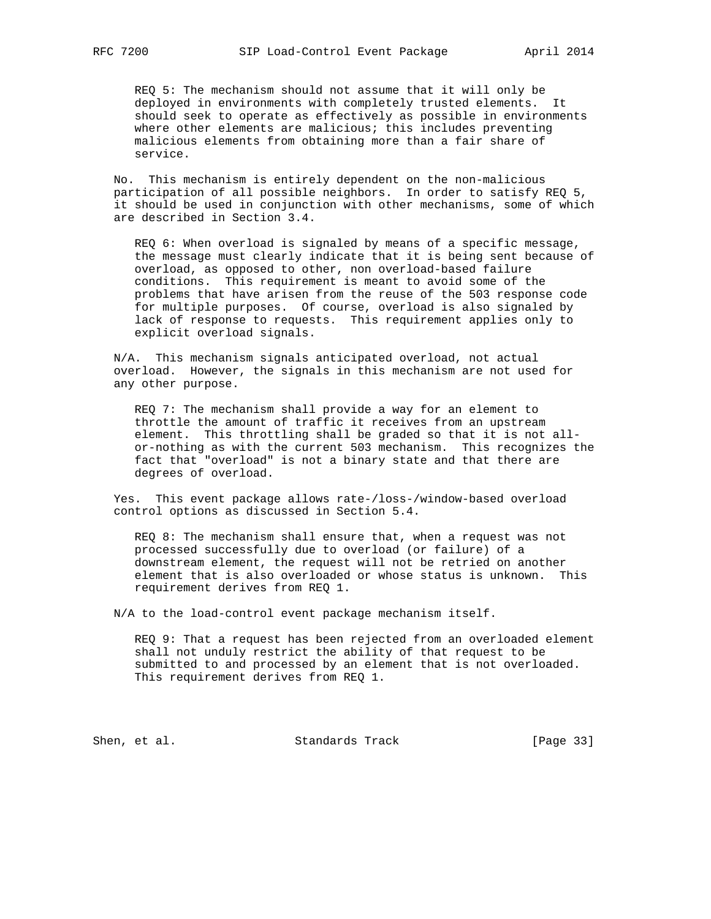REQ 5: The mechanism should not assume that it will only be deployed in environments with completely trusted elements. It should seek to operate as effectively as possible in environments where other elements are malicious; this includes preventing malicious elements from obtaining more than a fair share of service.

 No. This mechanism is entirely dependent on the non-malicious participation of all possible neighbors. In order to satisfy REQ 5, it should be used in conjunction with other mechanisms, some of which are described in Section 3.4.

 REQ 6: When overload is signaled by means of a specific message, the message must clearly indicate that it is being sent because of overload, as opposed to other, non overload-based failure conditions. This requirement is meant to avoid some of the problems that have arisen from the reuse of the 503 response code for multiple purposes. Of course, overload is also signaled by lack of response to requests. This requirement applies only to explicit overload signals.

 N/A. This mechanism signals anticipated overload, not actual overload. However, the signals in this mechanism are not used for any other purpose.

 REQ 7: The mechanism shall provide a way for an element to throttle the amount of traffic it receives from an upstream element. This throttling shall be graded so that it is not all or-nothing as with the current 503 mechanism. This recognizes the fact that "overload" is not a binary state and that there are degrees of overload.

 Yes. This event package allows rate-/loss-/window-based overload control options as discussed in Section 5.4.

 REQ 8: The mechanism shall ensure that, when a request was not processed successfully due to overload (or failure) of a downstream element, the request will not be retried on another element that is also overloaded or whose status is unknown. This requirement derives from REQ 1.

N/A to the load-control event package mechanism itself.

 REQ 9: That a request has been rejected from an overloaded element shall not unduly restrict the ability of that request to be submitted to and processed by an element that is not overloaded. This requirement derives from REQ 1.

Shen, et al. Standards Track [Page 33]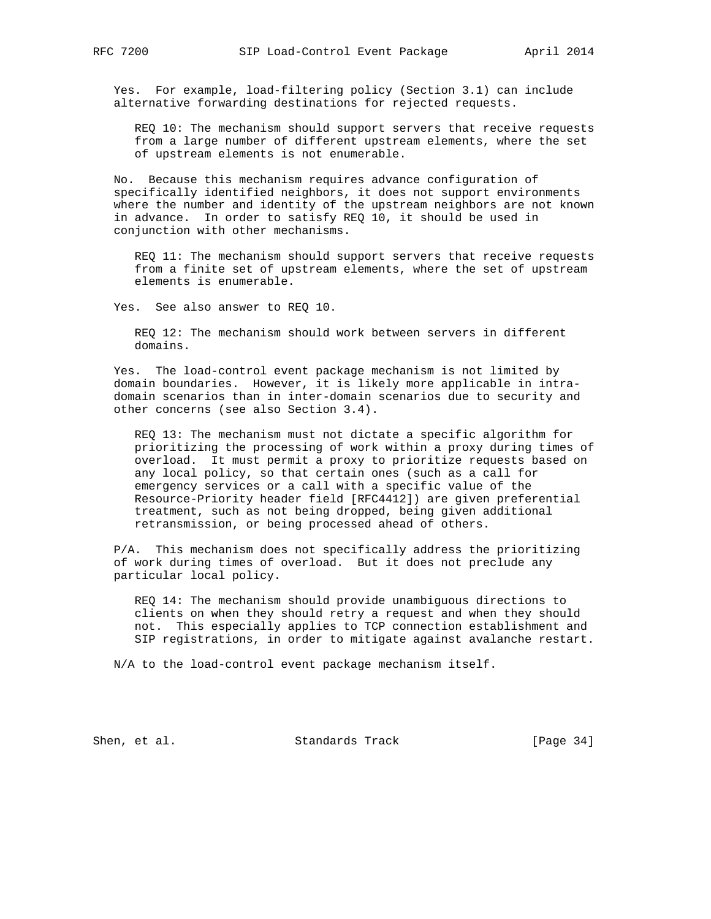Yes. For example, load-filtering policy (Section 3.1) can include alternative forwarding destinations for rejected requests.

 REQ 10: The mechanism should support servers that receive requests from a large number of different upstream elements, where the set of upstream elements is not enumerable.

 No. Because this mechanism requires advance configuration of specifically identified neighbors, it does not support environments where the number and identity of the upstream neighbors are not known in advance. In order to satisfy REQ 10, it should be used in conjunction with other mechanisms.

 REQ 11: The mechanism should support servers that receive requests from a finite set of upstream elements, where the set of upstream elements is enumerable.

Yes. See also answer to REQ 10.

 REQ 12: The mechanism should work between servers in different domains.

 Yes. The load-control event package mechanism is not limited by domain boundaries. However, it is likely more applicable in intra domain scenarios than in inter-domain scenarios due to security and other concerns (see also Section 3.4).

 REQ 13: The mechanism must not dictate a specific algorithm for prioritizing the processing of work within a proxy during times of overload. It must permit a proxy to prioritize requests based on any local policy, so that certain ones (such as a call for emergency services or a call with a specific value of the Resource-Priority header field [RFC4412]) are given preferential treatment, such as not being dropped, being given additional retransmission, or being processed ahead of others.

 P/A. This mechanism does not specifically address the prioritizing of work during times of overload. But it does not preclude any particular local policy.

 REQ 14: The mechanism should provide unambiguous directions to clients on when they should retry a request and when they should not. This especially applies to TCP connection establishment and SIP registrations, in order to mitigate against avalanche restart.

N/A to the load-control event package mechanism itself.

Shen, et al. Standards Track [Page 34]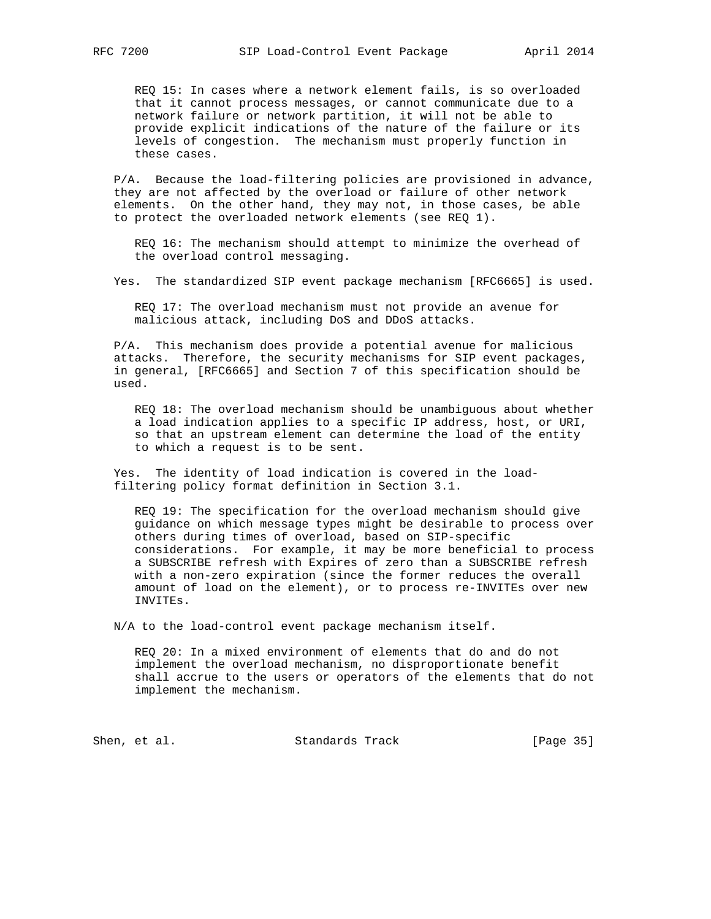REQ 15: In cases where a network element fails, is so overloaded that it cannot process messages, or cannot communicate due to a network failure or network partition, it will not be able to provide explicit indications of the nature of the failure or its levels of congestion. The mechanism must properly function in these cases.

 P/A. Because the load-filtering policies are provisioned in advance, they are not affected by the overload or failure of other network elements. On the other hand, they may not, in those cases, be able to protect the overloaded network elements (see REQ 1).

 REQ 16: The mechanism should attempt to minimize the overhead of the overload control messaging.

Yes. The standardized SIP event package mechanism [RFC6665] is used.

 REQ 17: The overload mechanism must not provide an avenue for malicious attack, including DoS and DDoS attacks.

 P/A. This mechanism does provide a potential avenue for malicious attacks. Therefore, the security mechanisms for SIP event packages, in general, [RFC6665] and Section 7 of this specification should be used.

 REQ 18: The overload mechanism should be unambiguous about whether a load indication applies to a specific IP address, host, or URI, so that an upstream element can determine the load of the entity to which a request is to be sent.

 Yes. The identity of load indication is covered in the load filtering policy format definition in Section 3.1.

 REQ 19: The specification for the overload mechanism should give guidance on which message types might be desirable to process over others during times of overload, based on SIP-specific considerations. For example, it may be more beneficial to process a SUBSCRIBE refresh with Expires of zero than a SUBSCRIBE refresh with a non-zero expiration (since the former reduces the overall amount of load on the element), or to process re-INVITEs over new INVITEs.

N/A to the load-control event package mechanism itself.

 REQ 20: In a mixed environment of elements that do and do not implement the overload mechanism, no disproportionate benefit shall accrue to the users or operators of the elements that do not implement the mechanism.

Shen, et al. Standards Track [Page 35]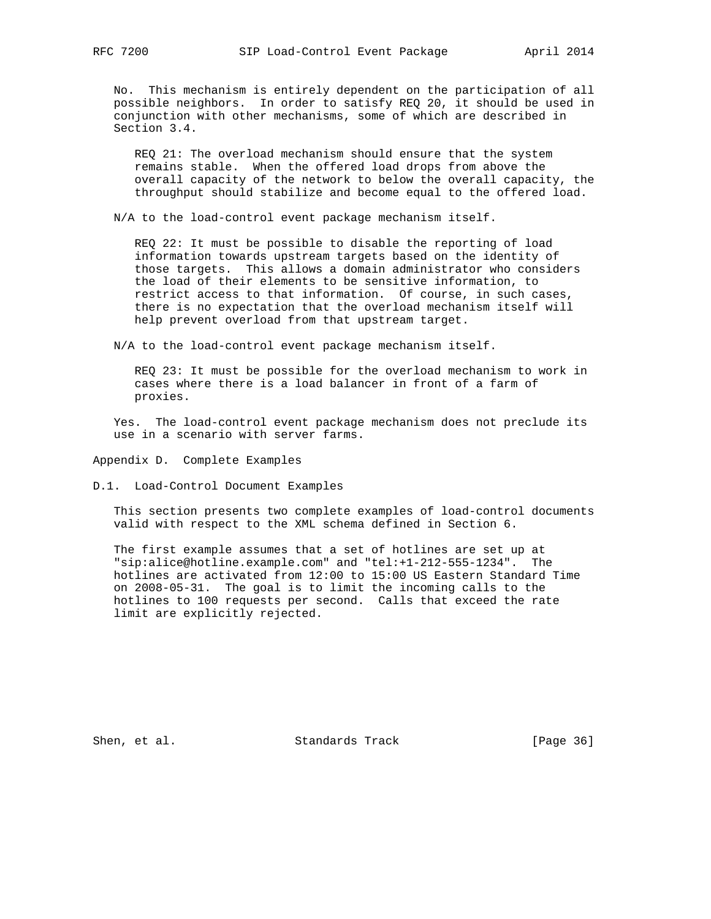No. This mechanism is entirely dependent on the participation of all possible neighbors. In order to satisfy REQ 20, it should be used in conjunction with other mechanisms, some of which are described in Section 3.4.

 REQ 21: The overload mechanism should ensure that the system remains stable. When the offered load drops from above the overall capacity of the network to below the overall capacity, the throughput should stabilize and become equal to the offered load.

N/A to the load-control event package mechanism itself.

 REQ 22: It must be possible to disable the reporting of load information towards upstream targets based on the identity of those targets. This allows a domain administrator who considers the load of their elements to be sensitive information, to restrict access to that information. Of course, in such cases, there is no expectation that the overload mechanism itself will help prevent overload from that upstream target.

N/A to the load-control event package mechanism itself.

 REQ 23: It must be possible for the overload mechanism to work in cases where there is a load balancer in front of a farm of proxies.

 Yes. The load-control event package mechanism does not preclude its use in a scenario with server farms.

Appendix D. Complete Examples

D.1. Load-Control Document Examples

 This section presents two complete examples of load-control documents valid with respect to the XML schema defined in Section 6.

 The first example assumes that a set of hotlines are set up at "sip:alice@hotline.example.com" and "tel:+1-212-555-1234". The hotlines are activated from 12:00 to 15:00 US Eastern Standard Time on 2008-05-31. The goal is to limit the incoming calls to the hotlines to 100 requests per second. Calls that exceed the rate limit are explicitly rejected.

Shen, et al. Standards Track [Page 36]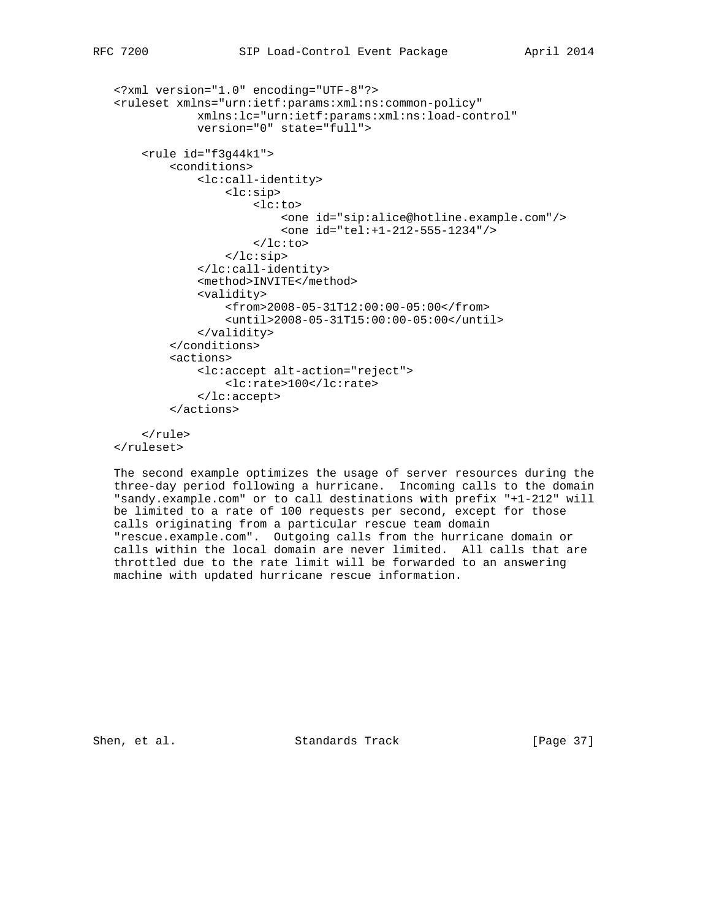```
 <?xml version="1.0" encoding="UTF-8"?>
 <ruleset xmlns="urn:ietf:params:xml:ns:common-policy"
             xmlns:lc="urn:ietf:params:xml:ns:load-control"
             version="0" state="full">
     <rule id="f3g44k1">
         <conditions>
             <lc:call-identity>
                  <lc:sip>
                      <lc:to>
                          <one id="sip:alice@hotline.example.com"/>
                          <one id="tel:+1-212-555-1234"/>
                     \langlelc:to>
                  </lc:sip>
             </lc:call-identity>
             <method>INVITE</method>
             <validity>
                  <from>2008-05-31T12:00:00-05:00</from>
                  <until>2008-05-31T15:00:00-05:00</until>
             </validity>
         </conditions>
         <actions>
             <lc:accept alt-action="reject">
                  <lc:rate>100</lc:rate>
             </lc:accept>
         </actions>
     </rule>
```
</ruleset>

 The second example optimizes the usage of server resources during the three-day period following a hurricane. Incoming calls to the domain "sandy.example.com" or to call destinations with prefix "+1-212" will be limited to a rate of 100 requests per second, except for those calls originating from a particular rescue team domain "rescue.example.com". Outgoing calls from the hurricane domain or calls within the local domain are never limited. All calls that are throttled due to the rate limit will be forwarded to an answering machine with updated hurricane rescue information.

Shen, et al. Standards Track [Page 37]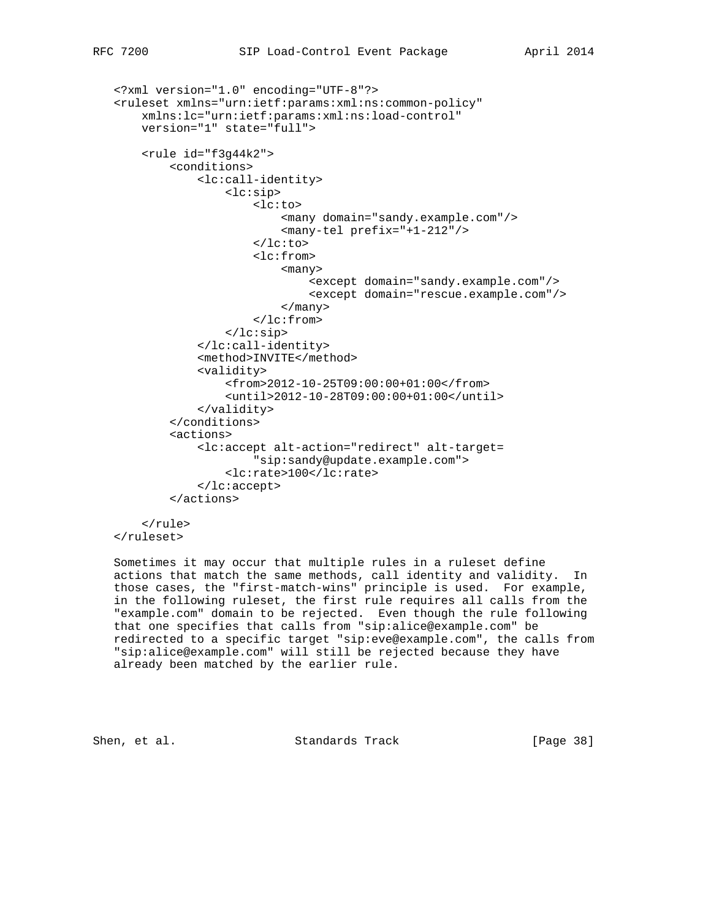```
 <?xml version="1.0" encoding="UTF-8"?>
 <ruleset xmlns="urn:ietf:params:xml:ns:common-policy"
     xmlns:lc="urn:ietf:params:xml:ns:load-control"
     version="1" state="full">
     <rule id="f3g44k2">
         <conditions>
             <lc:call-identity>
                  <lc:sip>
                      <lc:to>
                          <many domain="sandy.example.com"/>
                          <many-tel prefix="+1-212"/>
                     \langlelc:to>
                      <lc:from>
                           <many>
                               <except domain="sandy.example.com"/>
                               <except domain="rescue.example.com"/>
                           </many>
                      </lc:from>
                  </lc:sip>
             </lc:call-identity>
             <method>INVITE</method>
             <validity>
                  <from>2012-10-25T09:00:00+01:00</from>
                  <until>2012-10-28T09:00:00+01:00</until>
             </validity>
         </conditions>
         <actions>
             <lc:accept alt-action="redirect" alt-target=
                      "sip:sandy@update.example.com">
                  <lc:rate>100</lc:rate>
             </lc:accept>
         </actions>
```
 </rule> </ruleset>

 Sometimes it may occur that multiple rules in a ruleset define actions that match the same methods, call identity and validity. In those cases, the "first-match-wins" principle is used. For example, in the following ruleset, the first rule requires all calls from the "example.com" domain to be rejected. Even though the rule following that one specifies that calls from "sip:alice@example.com" be redirected to a specific target "sip:eve@example.com", the calls from "sip:alice@example.com" will still be rejected because they have already been matched by the earlier rule.

Shen, et al. Standards Track [Page 38]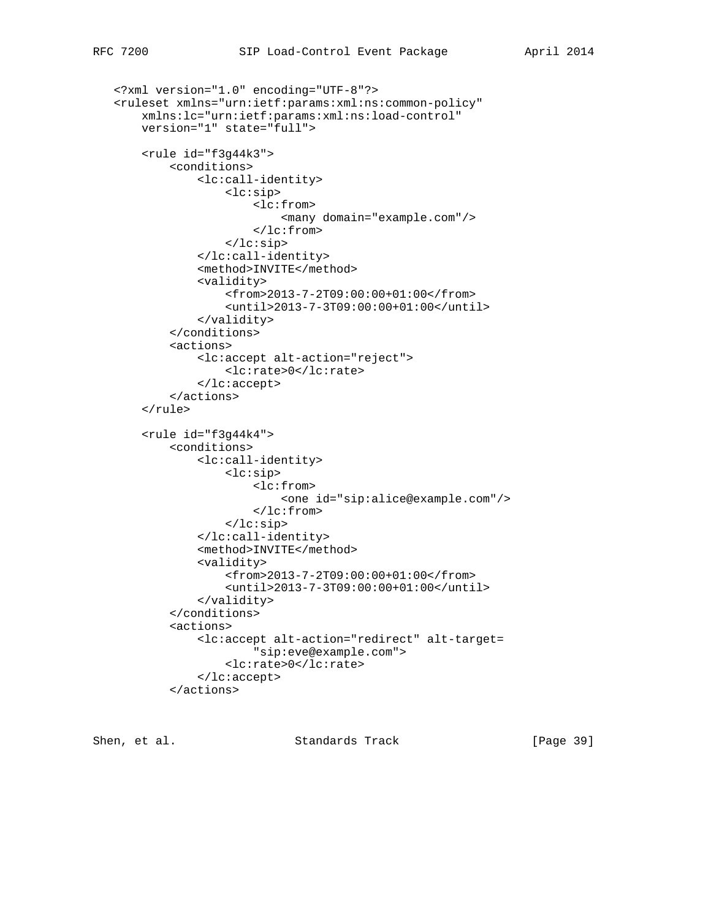```
 <?xml version="1.0" encoding="UTF-8"?>
 <ruleset xmlns="urn:ietf:params:xml:ns:common-policy"
     xmlns:lc="urn:ietf:params:xml:ns:load-control"
     version="1" state="full">
     <rule id="f3g44k3">
         <conditions>
             <lc:call-identity>
                  <lc:sip>
                      <lc:from>
                          <many domain="example.com"/>
                      </lc:from>
                  </lc:sip>
             </lc:call-identity>
             <method>INVITE</method>
             <validity>
                  <from>2013-7-2T09:00:00+01:00</from>
                  <until>2013-7-3T09:00:00+01:00</until>
             </validity>
         </conditions>
         <actions>
             <lc:accept alt-action="reject">
                  <lc:rate>0</lc:rate>
             </lc:accept>
         </actions>
     </rule>
     <rule id="f3g44k4">
         <conditions>
             <lc:call-identity>
                  <lc:sip>
                      <lc:from>
                          <one id="sip:alice@example.com"/>
                      </lc:from>
                  </lc:sip>
             </lc:call-identity>
             <method>INVITE</method>
             <validity>
                  <from>2013-7-2T09:00:00+01:00</from>
                  <until>2013-7-3T09:00:00+01:00</until>
             </validity>
         </conditions>
         <actions>
             <lc:accept alt-action="redirect" alt-target=
                      "sip:eve@example.com">
                  <lc:rate>0</lc:rate>
             </lc:accept>
         </actions>
```
Shen, et al. Standards Track [Page 39]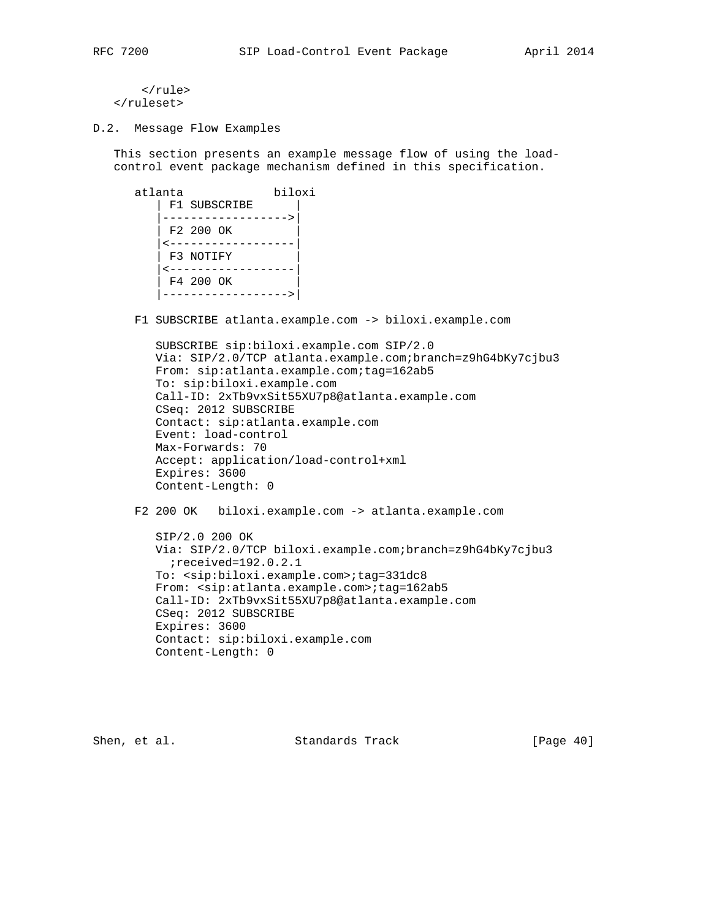```
 </rule>
 </ruleset>
```
D.2. Message Flow Examples

 This section presents an example message flow of using the load control event package mechanism defined in this specification.

```
 atlanta biloxi
  | F1 SUBSCRIBE |
    |------------------>|
    | F2 200 OK |
    |<------------------|
   F3 NOTIFY
    |<------------------|
   F4 200 OK
    |------------------>|
```
F1 SUBSCRIBE atlanta.example.com -> biloxi.example.com

```
 SUBSCRIBE sip:biloxi.example.com SIP/2.0
 Via: SIP/2.0/TCP atlanta.example.com;branch=z9hG4bKy7cjbu3
 From: sip:atlanta.example.com;tag=162ab5
 To: sip:biloxi.example.com
 Call-ID: 2xTb9vxSit55XU7p8@atlanta.example.com
 CSeq: 2012 SUBSCRIBE
 Contact: sip:atlanta.example.com
 Event: load-control
 Max-Forwards: 70
 Accept: application/load-control+xml
 Expires: 3600
 Content-Length: 0
```
F2 200 OK biloxi.example.com -> atlanta.example.com

```
 SIP/2.0 200 OK
 Via: SIP/2.0/TCP biloxi.example.com;branch=z9hG4bKy7cjbu3
  ;received=192.0.2.1
 To: <sip:biloxi.example.com>;tag=331dc8
From: <sip:atlanta.example.com>;tag=162ab5
 Call-ID: 2xTb9vxSit55XU7p8@atlanta.example.com
 CSeq: 2012 SUBSCRIBE
 Expires: 3600
 Contact: sip:biloxi.example.com
 Content-Length: 0
```
Shen, et al. Standards Track [Page 40]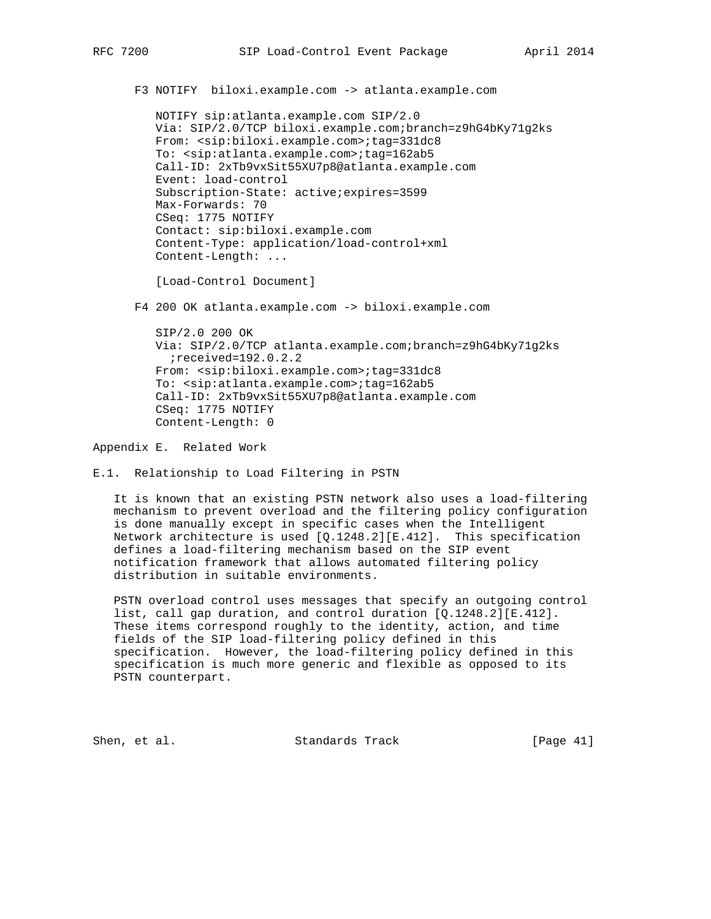F3 NOTIFY biloxi.example.com -> atlanta.example.com

 NOTIFY sip:atlanta.example.com SIP/2.0 Via: SIP/2.0/TCP biloxi.example.com;branch=z9hG4bKy71g2ks From: <sip:biloxi.example.com>;tag=331dc8 To: <sip:atlanta.example.com>;tag=162ab5 Call-ID: 2xTb9vxSit55XU7p8@atlanta.example.com Event: load-control Subscription-State: active;expires=3599 Max-Forwards: 70 CSeq: 1775 NOTIFY Contact: sip:biloxi.example.com Content-Type: application/load-control+xml Content-Length: ...

[Load-Control Document]

F4 200 OK atlanta.example.com -> biloxi.example.com

 SIP/2.0 200 OK Via: SIP/2.0/TCP atlanta.example.com;branch=z9hG4bKy71g2ks ;received=192.0.2.2 From: <sip:biloxi.example.com>;tag=331dc8 To: <sip:atlanta.example.com>;tag=162ab5 Call-ID: 2xTb9vxSit55XU7p8@atlanta.example.com CSeq: 1775 NOTIFY Content-Length: 0

Appendix E. Related Work

E.1. Relationship to Load Filtering in PSTN

 It is known that an existing PSTN network also uses a load-filtering mechanism to prevent overload and the filtering policy configuration is done manually except in specific cases when the Intelligent Network architecture is used [Q.1248.2][E.412]. This specification defines a load-filtering mechanism based on the SIP event notification framework that allows automated filtering policy distribution in suitable environments.

 PSTN overload control uses messages that specify an outgoing control list, call gap duration, and control duration [Q.1248.2][E.412]. These items correspond roughly to the identity, action, and time fields of the SIP load-filtering policy defined in this specification. However, the load-filtering policy defined in this specification is much more generic and flexible as opposed to its PSTN counterpart.

Shen, et al. Standards Track [Page 41]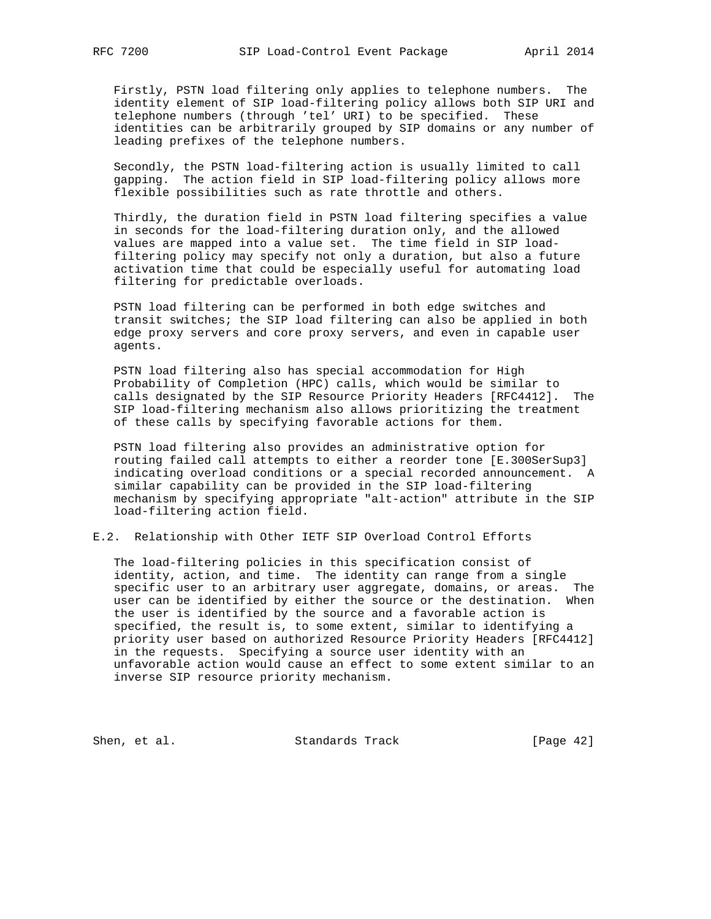Firstly, PSTN load filtering only applies to telephone numbers. The identity element of SIP load-filtering policy allows both SIP URI and telephone numbers (through 'tel' URI) to be specified. These identities can be arbitrarily grouped by SIP domains or any number of leading prefixes of the telephone numbers.

 Secondly, the PSTN load-filtering action is usually limited to call gapping. The action field in SIP load-filtering policy allows more flexible possibilities such as rate throttle and others.

 Thirdly, the duration field in PSTN load filtering specifies a value in seconds for the load-filtering duration only, and the allowed values are mapped into a value set. The time field in SIP load filtering policy may specify not only a duration, but also a future activation time that could be especially useful for automating load filtering for predictable overloads.

 PSTN load filtering can be performed in both edge switches and transit switches; the SIP load filtering can also be applied in both edge proxy servers and core proxy servers, and even in capable user agents.

 PSTN load filtering also has special accommodation for High Probability of Completion (HPC) calls, which would be similar to calls designated by the SIP Resource Priority Headers [RFC4412]. The SIP load-filtering mechanism also allows prioritizing the treatment of these calls by specifying favorable actions for them.

 PSTN load filtering also provides an administrative option for routing failed call attempts to either a reorder tone [E.300SerSup3] indicating overload conditions or a special recorded announcement. A similar capability can be provided in the SIP load-filtering mechanism by specifying appropriate "alt-action" attribute in the SIP load-filtering action field.

# E.2. Relationship with Other IETF SIP Overload Control Efforts

 The load-filtering policies in this specification consist of identity, action, and time. The identity can range from a single specific user to an arbitrary user aggregate, domains, or areas. The user can be identified by either the source or the destination. When the user is identified by the source and a favorable action is specified, the result is, to some extent, similar to identifying a priority user based on authorized Resource Priority Headers [RFC4412] in the requests. Specifying a source user identity with an unfavorable action would cause an effect to some extent similar to an inverse SIP resource priority mechanism.

Shen, et al. Standards Track [Page 42]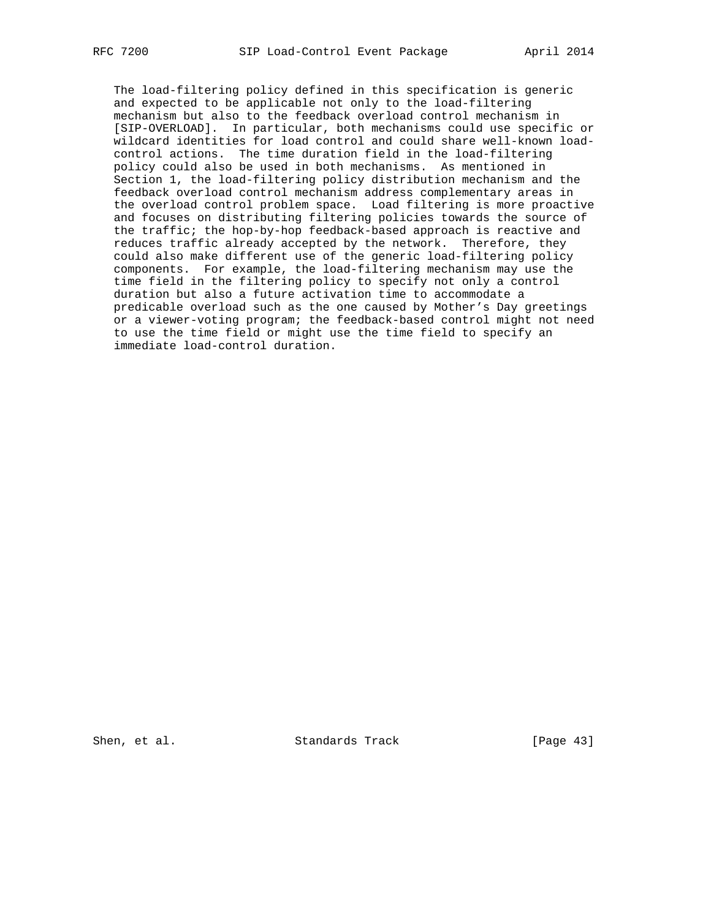The load-filtering policy defined in this specification is generic and expected to be applicable not only to the load-filtering mechanism but also to the feedback overload control mechanism in [SIP-OVERLOAD]. In particular, both mechanisms could use specific or wildcard identities for load control and could share well-known load control actions. The time duration field in the load-filtering policy could also be used in both mechanisms. As mentioned in Section 1, the load-filtering policy distribution mechanism and the feedback overload control mechanism address complementary areas in the overload control problem space. Load filtering is more proactive and focuses on distributing filtering policies towards the source of the traffic; the hop-by-hop feedback-based approach is reactive and reduces traffic already accepted by the network. Therefore, they could also make different use of the generic load-filtering policy components. For example, the load-filtering mechanism may use the time field in the filtering policy to specify not only a control duration but also a future activation time to accommodate a predicable overload such as the one caused by Mother's Day greetings or a viewer-voting program; the feedback-based control might not need to use the time field or might use the time field to specify an immediate load-control duration.

Shen, et al. Standards Track [Page 43]